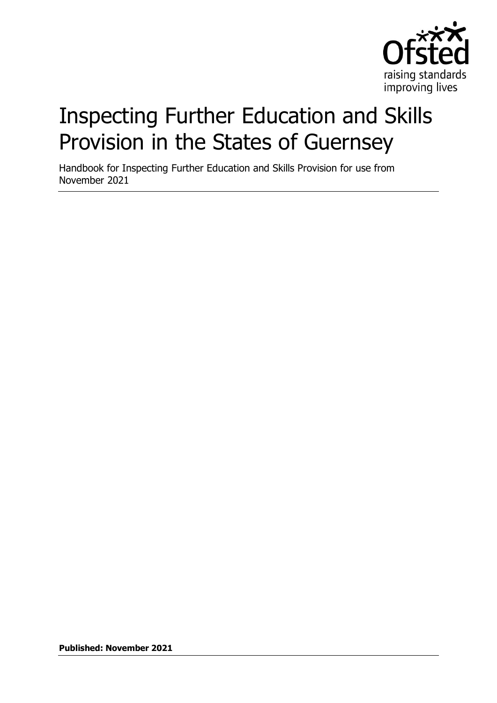

# Inspecting Further Education and Skills Provision in the States of Guernsey

Handbook for Inspecting Further Education and Skills Provision for use from November 2021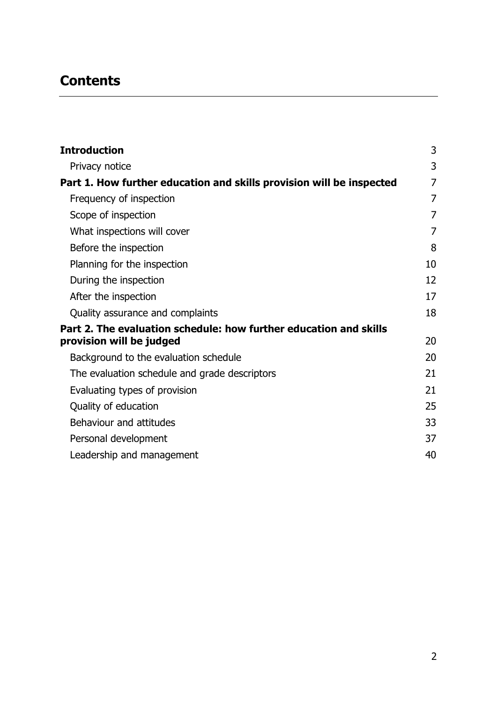# **Contents**

| <b>Introduction</b>                                                  | 3              |
|----------------------------------------------------------------------|----------------|
| Privacy notice                                                       | 3              |
| Part 1. How further education and skills provision will be inspected | 7              |
| Frequency of inspection                                              | 7              |
| Scope of inspection                                                  | 7              |
| What inspections will cover                                          | $\overline{7}$ |
| Before the inspection                                                | 8              |
| Planning for the inspection                                          | 10             |
| During the inspection                                                | 12             |
| After the inspection                                                 | 17             |
| Quality assurance and complaints                                     | 18             |
| Part 2. The evaluation schedule: how further education and skills    |                |
| provision will be judged                                             | 20             |
| Background to the evaluation schedule                                | 20             |
| The evaluation schedule and grade descriptors                        | 21             |
| Evaluating types of provision                                        | 21             |
| Quality of education                                                 | 25             |
| Behaviour and attitudes                                              | 33             |
| Personal development                                                 | 37             |
| Leadership and management                                            | 40             |
|                                                                      |                |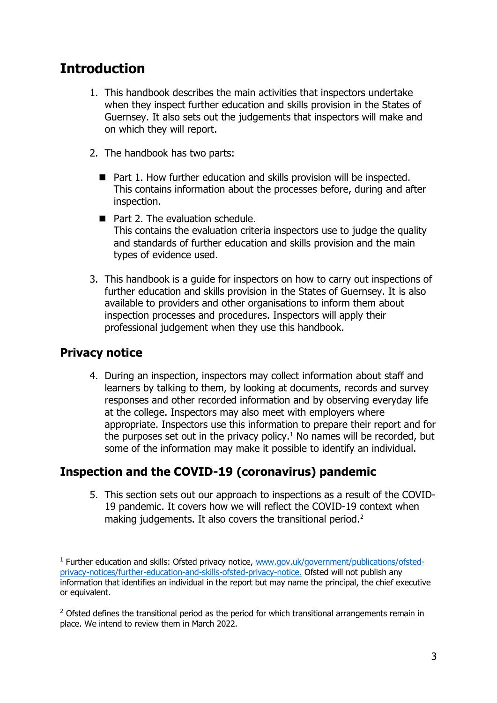# <span id="page-2-0"></span>**Introduction**

- 1. This handbook describes the main activities that inspectors undertake when they inspect further education and skills provision in the States of Guernsey. It also sets out the judgements that inspectors will make and on which they will report.
- 2. The handbook has two parts:
	- Part 1. How further education and skills provision will be inspected. This contains information about the processes before, during and after inspection.
	- Part 2. The evaluation schedule. This contains the evaluation criteria inspectors use to judge the quality and standards of further education and skills provision and the main types of evidence used.
- 3. This handbook is a guide for inspectors on how to carry out inspections of further education and skills provision in the States of Guernsey. It is also available to providers and other organisations to inform them about inspection processes and procedures. Inspectors will apply their professional judgement when they use this handbook.

# <span id="page-2-1"></span>**Privacy notice**

4. During an inspection, inspectors may collect information about staff and learners by talking to them, by looking at documents, records and survey responses and other recorded information and by observing everyday life at the college. Inspectors may also meet with employers where appropriate. Inspectors use this information to prepare their report and for the purposes set out in the privacy policy. $1$  No names will be recorded, but some of the information may make it possible to identify an individual.

# **Inspection and the COVID-19 (coronavirus) pandemic**

5. This section sets out our approach to inspections as a result of the COVID-19 pandemic. It covers how we will reflect the COVID-19 context when making judgements. It also covers the transitional period.<sup>2</sup>

 $2$  Ofsted defines the transitional period as the period for which transitional arrangements remain in place. We intend to review them in March 2022.

<sup>&</sup>lt;sup>1</sup> Further education and skills: Ofsted privacy notice, [www.gov.uk/government/publications/ofsted](https://www.gov.uk/government/publications/ofsted-privacy-notices/further-education-and-skills-ofsted-privacy-notice)[privacy-notices/further-education-and-skills-ofsted-privacy-notice.](https://www.gov.uk/government/publications/ofsted-privacy-notices/further-education-and-skills-ofsted-privacy-notice) Ofsted will not publish any information that identifies an individual in the report but may name the principal, the chief executive or equivalent.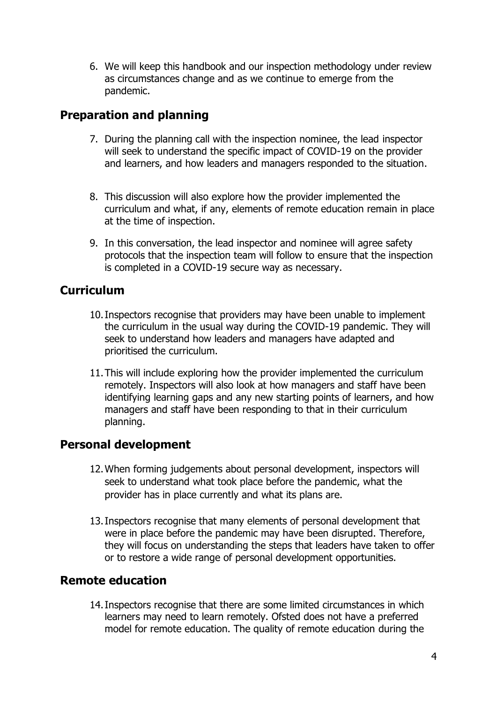6. We will keep this handbook and our inspection methodology under review as circumstances change and as we continue to emerge from the pandemic.

# **Preparation and planning**

- 7. During the planning call with the inspection nominee, the lead inspector will seek to understand the specific impact of COVID-19 on the provider and learners, and how leaders and managers responded to the situation.
- 8. This discussion will also explore how the provider implemented the curriculum and what, if any, elements of remote education remain in place at the time of inspection.
- 9. In this conversation, the lead inspector and nominee will agree safety protocols that the inspection team will follow to ensure that the inspection is completed in a COVID-19 secure way as necessary.

# **Curriculum**

- 10.Inspectors recognise that providers may have been unable to implement the curriculum in the usual way during the COVID-19 pandemic. They will seek to understand how leaders and managers have adapted and prioritised the curriculum.
- 11.This will include exploring how the provider implemented the curriculum remotely. Inspectors will also look at how managers and staff have been identifying learning gaps and any new starting points of learners, and how managers and staff have been responding to that in their curriculum planning.

# **Personal development**

- 12.When forming judgements about personal development, inspectors will seek to understand what took place before the pandemic, what the provider has in place currently and what its plans are.
- 13.Inspectors recognise that many elements of personal development that were in place before the pandemic may have been disrupted. Therefore, they will focus on understanding the steps that leaders have taken to offer or to restore a wide range of personal development opportunities.

# **Remote education**

14.Inspectors recognise that there are some limited circumstances in which learners may need to learn remotely. Ofsted does not have a preferred model for remote education. The quality of remote education during the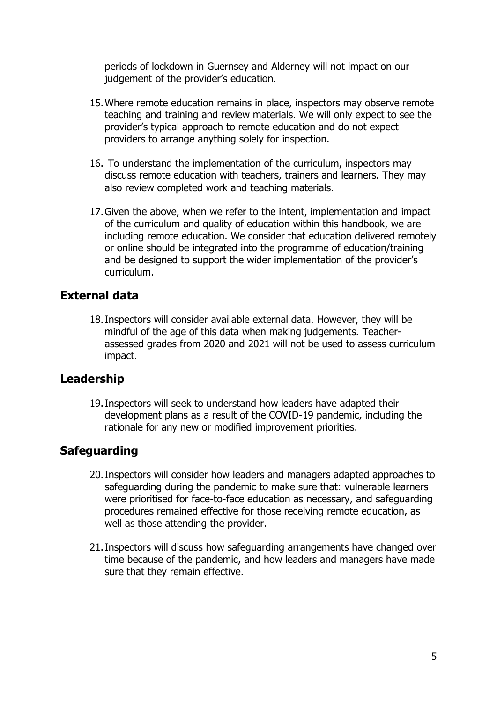periods of lockdown in Guernsey and Alderney will not impact on our judgement of the provider's education.

- 15.Where remote education remains in place, inspectors may observe remote teaching and training and review materials. We will only expect to see the provider's typical approach to remote education and do not expect providers to arrange anything solely for inspection.
- 16. To understand the implementation of the curriculum, inspectors may discuss remote education with teachers, trainers and learners. They may also review completed work and teaching materials.
- 17.Given the above, when we refer to the intent, implementation and impact of the curriculum and quality of education within this handbook, we are including remote education. We consider that education delivered remotely or online should be integrated into the programme of education/training and be designed to support the wider implementation of the provider's curriculum.

# **External data**

18.Inspectors will consider available external data. However, they will be mindful of the age of this data when making judgements. Teacherassessed grades from 2020 and 2021 will not be used to assess curriculum impact.

# **Leadership**

19.Inspectors will seek to understand how leaders have adapted their development plans as a result of the COVID-19 pandemic, including the rationale for any new or modified improvement priorities.

# **Safeguarding**

- 20.Inspectors will consider how leaders and managers adapted approaches to safeguarding during the pandemic to make sure that: vulnerable learners were prioritised for face-to-face education as necessary, and safeguarding procedures remained effective for those receiving remote education, as well as those attending the provider.
- 21.Inspectors will discuss how safeguarding arrangements have changed over time because of the pandemic, and how leaders and managers have made sure that they remain effective.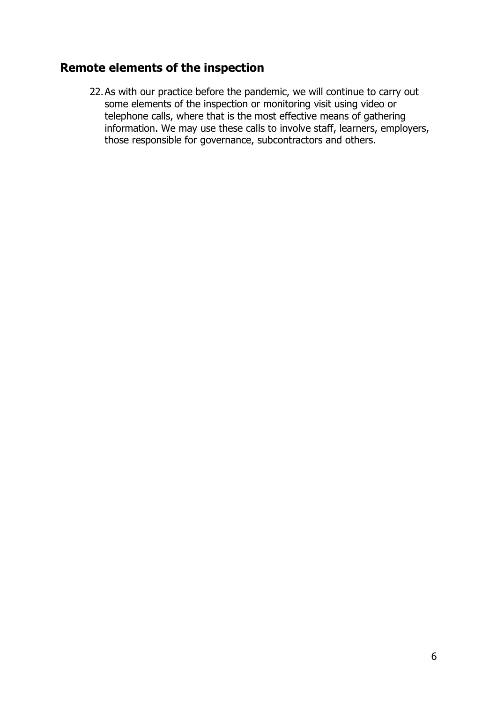# **Remote elements of the inspection**

22.As with our practice before the pandemic, we will continue to carry out some elements of the inspection or monitoring visit using video or telephone calls, where that is the most effective means of gathering information. We may use these calls to involve staff, learners, employers, those responsible for governance, subcontractors and others.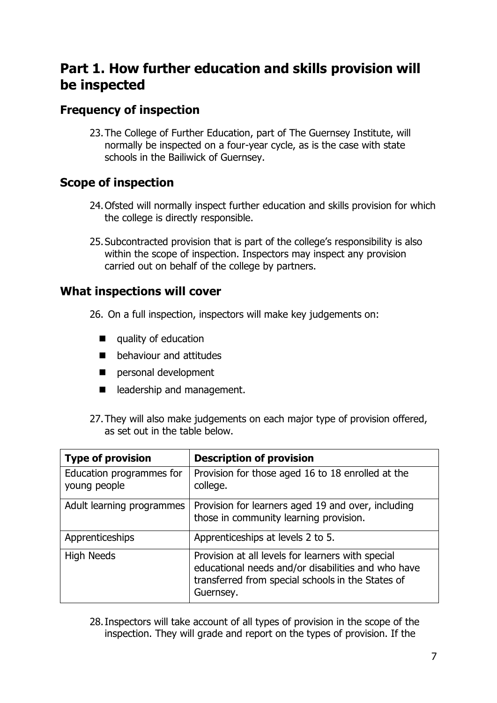# <span id="page-6-0"></span>**Part 1. How further education and skills provision will be inspected**

# <span id="page-6-1"></span>**Frequency of inspection**

23.The College of Further Education, part of The Guernsey Institute, will normally be inspected on a four-year cycle, as is the case with state schools in the Bailiwick of Guernsey.

# <span id="page-6-2"></span>**Scope of inspection**

- 24.Ofsted will normally inspect further education and skills provision for which the college is directly responsible.
- 25.Subcontracted provision that is part of the college's responsibility is also within the scope of inspection. Inspectors may inspect any provision carried out on behalf of the college by partners.

# <span id="page-6-3"></span>**What inspections will cover**

- 26. On a full inspection, inspectors will make key judgements on:
	- quality of education
	- behaviour and attitudes
	- personal development
	- leadership and management.
- 27.They will also make judgements on each major type of provision offered, as set out in the table below.

| <b>Type of provision</b>                 | <b>Description of provision</b>                                                                                                                                           |
|------------------------------------------|---------------------------------------------------------------------------------------------------------------------------------------------------------------------------|
| Education programmes for<br>young people | Provision for those aged 16 to 18 enrolled at the<br>college.                                                                                                             |
| Adult learning programmes                | Provision for learners aged 19 and over, including<br>those in community learning provision.                                                                              |
| Apprenticeships                          | Apprenticeships at levels 2 to 5.                                                                                                                                         |
| High Needs                               | Provision at all levels for learners with special<br>educational needs and/or disabilities and who have<br>transferred from special schools in the States of<br>Guernsey. |

28.Inspectors will take account of all types of provision in the scope of the inspection. They will grade and report on the types of provision. If the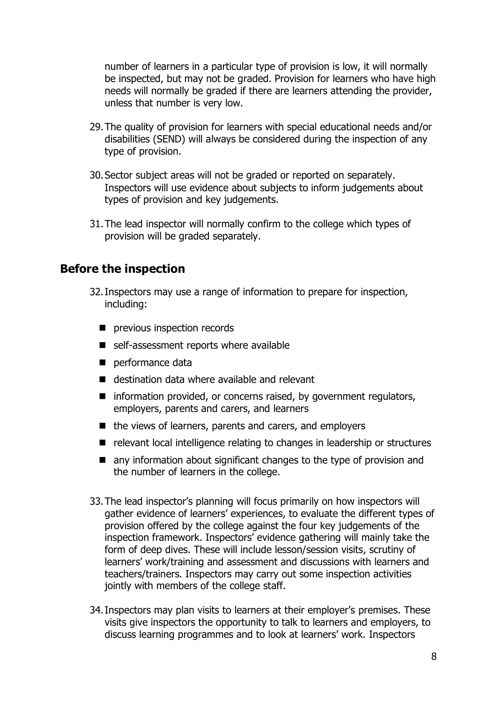number of learners in a particular type of provision is low, it will normally be inspected, but may not be graded. Provision for learners who have high needs will normally be graded if there are learners attending the provider, unless that number is very low.

- 29.The quality of provision for learners with special educational needs and/or disabilities (SEND) will always be considered during the inspection of any type of provision.
- 30.Sector subject areas will not be graded or reported on separately. Inspectors will use evidence about subjects to inform judgements about types of provision and key judgements.
- 31.The lead inspector will normally confirm to the college which types of provision will be graded separately.

# <span id="page-7-0"></span>**Before the inspection**

- 32.Inspectors may use a range of information to prepare for inspection, including:
	- previous inspection records
	- self-assessment reports where available
	- performance data
	- destination data where available and relevant
	- information provided, or concerns raised, by government regulators, employers, parents and carers, and learners
	- the views of learners, parents and carers, and employers
	- relevant local intelligence relating to changes in leadership or structures
	- any information about significant changes to the type of provision and the number of learners in the college.
- 33.The lead inspector's planning will focus primarily on how inspectors will gather evidence of learners' experiences, to evaluate the different types of provision offered by the college against the four key judgements of the inspection framework. Inspectors' evidence gathering will mainly take the form of deep dives. These will include lesson/session visits, scrutiny of learners' work/training and assessment and discussions with learners and teachers/trainers. Inspectors may carry out some inspection activities jointly with members of the college staff.
- 34.Inspectors may plan visits to learners at their employer's premises. These visits give inspectors the opportunity to talk to learners and employers, to discuss learning programmes and to look at learners' work. Inspectors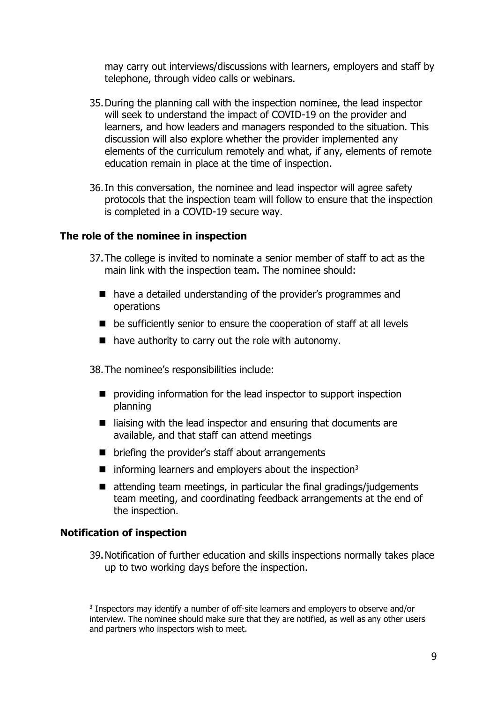may carry out interviews/discussions with learners, employers and staff by telephone, through video calls or webinars.

- 35.During the planning call with the inspection nominee, the lead inspector will seek to understand the impact of COVID-19 on the provider and learners, and how leaders and managers responded to the situation. This discussion will also explore whether the provider implemented any elements of the curriculum remotely and what, if any, elements of remote education remain in place at the time of inspection.
- 36.In this conversation, the nominee and lead inspector will agree safety protocols that the inspection team will follow to ensure that the inspection is completed in a COVID-19 secure way.

#### **The role of the nominee in inspection**

- 37.The college is invited to nominate a senior member of staff to act as the main link with the inspection team. The nominee should:
	- have a detailed understanding of the provider's programmes and operations
	- be sufficiently senior to ensure the cooperation of staff at all levels
	- have authority to carry out the role with autonomy.

38.The nominee's responsibilities include:

- providing information for the lead inspector to support inspection planning
- liaising with the lead inspector and ensuring that documents are available, and that staff can attend meetings
- briefing the provider's staff about arrangements
- $\blacksquare$  informing learners and employers about the inspection<sup>3</sup>
- $\blacksquare$  attending team meetings, in particular the final gradings/judgements team meeting, and coordinating feedback arrangements at the end of the inspection.

#### **Notification of inspection**

39.Notification of further education and skills inspections normally takes place up to two working days before the inspection.

<sup>3</sup> Inspectors may identify a number of off-site learners and employers to observe and/or interview. The nominee should make sure that they are notified, as well as any other users and partners who inspectors wish to meet.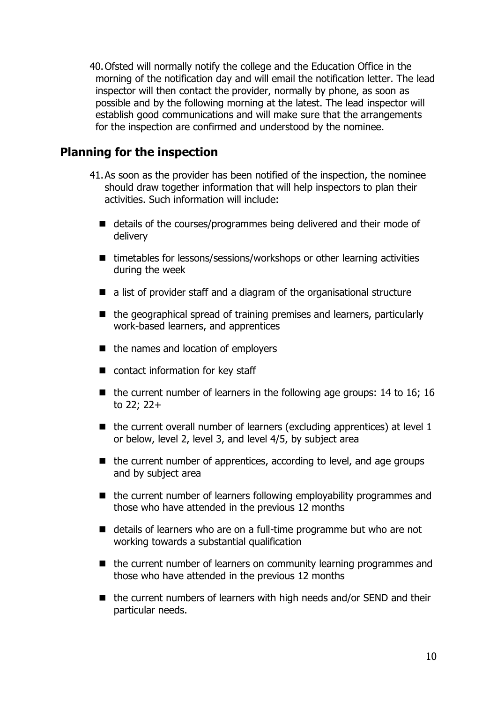40.Ofsted will normally notify the college and the Education Office in the morning of the notification day and will email the notification letter. The lead inspector will then contact the provider, normally by phone, as soon as possible and by the following morning at the latest. The lead inspector will establish good communications and will make sure that the arrangements for the inspection are confirmed and understood by the nominee.

# <span id="page-9-0"></span>**Planning for the inspection**

- 41.As soon as the provider has been notified of the inspection, the nominee should draw together information that will help inspectors to plan their activities. Such information will include:
	- details of the courses/programmes being delivered and their mode of delivery
	- timetables for lessons/sessions/workshops or other learning activities during the week
	- a list of provider staff and a diagram of the organisational structure
	- the geographical spread of training premises and learners, particularly work-based learners, and apprentices
	- the names and location of employers
	- contact information for key staff
	- $\blacksquare$  the current number of learners in the following age groups: 14 to 16; 16 to 22; 22+
	- $\blacksquare$  the current overall number of learners (excluding apprentices) at level 1 or below, level 2, level 3, and level 4/5, by subject area
	- the current number of apprentices, according to level, and age groups and by subject area
	- the current number of learners following employability programmes and those who have attended in the previous 12 months
	- details of learners who are on a full-time programme but who are not working towards a substantial qualification
	- the current number of learners on community learning programmes and those who have attended in the previous 12 months
	- the current numbers of learners with high needs and/or SEND and their particular needs.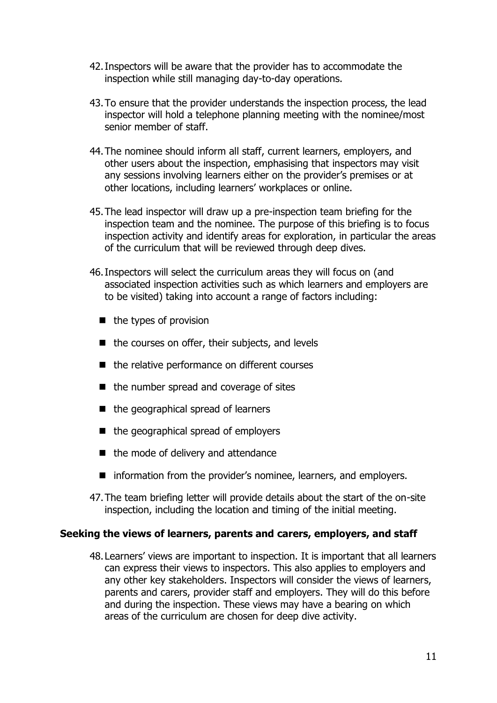- 42.Inspectors will be aware that the provider has to accommodate the inspection while still managing day-to-day operations.
- 43.To ensure that the provider understands the inspection process, the lead inspector will hold a telephone planning meeting with the nominee/most senior member of staff.
- 44.The nominee should inform all staff, current learners, employers, and other users about the inspection, emphasising that inspectors may visit any sessions involving learners either on the provider's premises or at other locations, including learners' workplaces or online.
- 45.The lead inspector will draw up a pre-inspection team briefing for the inspection team and the nominee. The purpose of this briefing is to focus inspection activity and identify areas for exploration, in particular the areas of the curriculum that will be reviewed through deep dives.
- 46.Inspectors will select the curriculum areas they will focus on (and associated inspection activities such as which learners and employers are to be visited) taking into account a range of factors including:
	- the types of provision
	- the courses on offer, their subjects, and levels
	- the relative performance on different courses
	- the number spread and coverage of sites
	- the geographical spread of learners
	- the geographical spread of employers
	- the mode of delivery and attendance
	- information from the provider's nominee, learners, and employers.
- 47.The team briefing letter will provide details about the start of the on-site inspection, including the location and timing of the initial meeting.

#### **Seeking the views of learners, parents and carers, employers, and staff**

48.Learners' views are important to inspection. It is important that all learners can express their views to inspectors. This also applies to employers and any other key stakeholders. Inspectors will consider the views of learners, parents and carers, provider staff and employers. They will do this before and during the inspection. These views may have a bearing on which areas of the curriculum are chosen for deep dive activity.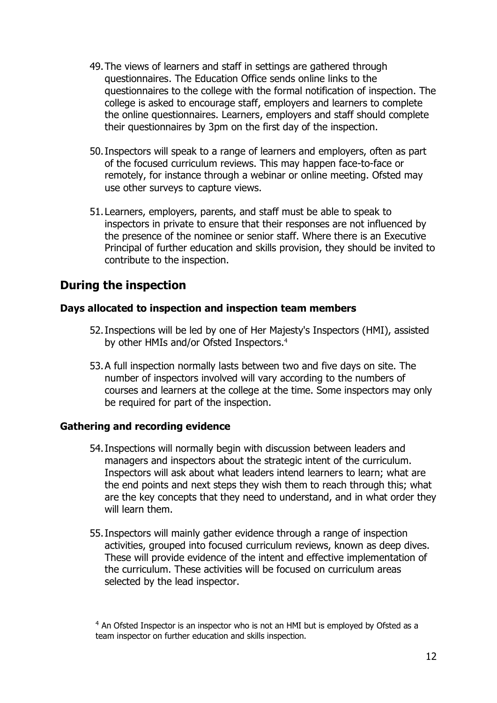- 49.The views of learners and staff in settings are gathered through questionnaires. The Education Office sends online links to the questionnaires to the college with the formal notification of inspection. The college is asked to encourage staff, employers and learners to complete the online questionnaires. Learners, employers and staff should complete their questionnaires by 3pm on the first day of the inspection.
- 50.Inspectors will speak to a range of learners and employers, often as part of the focused curriculum reviews. This may happen face-to-face or remotely, for instance through a webinar or online meeting. Ofsted may use other surveys to capture views.
- 51.Learners, employers, parents, and staff must be able to speak to inspectors in private to ensure that their responses are not influenced by the presence of the nominee or senior staff. Where there is an Executive Principal of further education and skills provision, they should be invited to contribute to the inspection.

# <span id="page-11-0"></span>**During the inspection**

#### **Days allocated to inspection and inspection team members**

- 52.Inspections will be led by one of Her Majesty's Inspectors (HMI), assisted by other HMIs and/or Ofsted Inspectors.<sup>4</sup>
- 53.A full inspection normally lasts between two and five days on site. The number of inspectors involved will vary according to the numbers of courses and learners at the college at the time. Some inspectors may only be required for part of the inspection.

## **Gathering and recording evidence**

- 54.Inspections will normally begin with discussion between leaders and managers and inspectors about the strategic intent of the curriculum. Inspectors will ask about what leaders intend learners to learn; what are the end points and next steps they wish them to reach through this; what are the key concepts that they need to understand, and in what order they will learn them
- 55.Inspectors will mainly gather evidence through a range of inspection activities, grouped into focused curriculum reviews, known as deep dives. These will provide evidence of the intent and effective implementation of the curriculum. These activities will be focused on curriculum areas selected by the lead inspector.

<sup>&</sup>lt;sup>4</sup> An Ofsted Inspector is an inspector who is not an HMI but is employed by Ofsted as a team inspector on further education and skills inspection.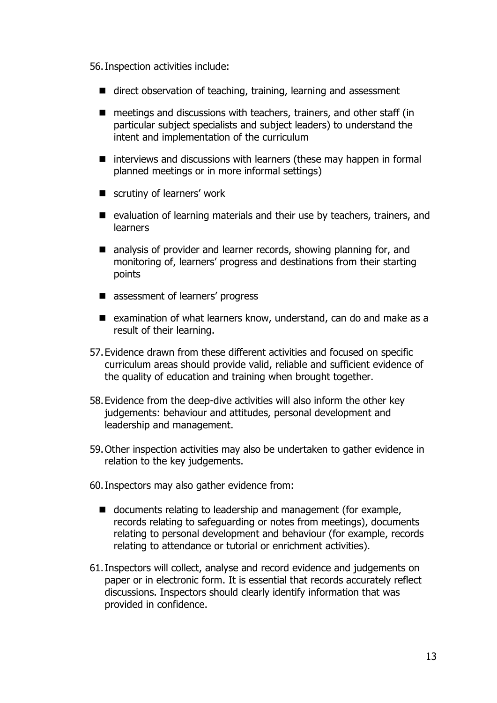56.Inspection activities include:

- direct observation of teaching, training, learning and assessment
- meetings and discussions with teachers, trainers, and other staff (in particular subject specialists and subject leaders) to understand the intent and implementation of the curriculum
- interviews and discussions with learners (these may happen in formal planned meetings or in more informal settings)
- scrutiny of learners' work
- evaluation of learning materials and their use by teachers, trainers, and learners
- analysis of provider and learner records, showing planning for, and monitoring of, learners' progress and destinations from their starting points
- assessment of learners' progress
- examination of what learners know, understand, can do and make as a result of their learning.
- 57.Evidence drawn from these different activities and focused on specific curriculum areas should provide valid, reliable and sufficient evidence of the quality of education and training when brought together.
- 58.Evidence from the deep-dive activities will also inform the other key judgements: behaviour and attitudes, personal development and leadership and management.
- 59.Other inspection activities may also be undertaken to gather evidence in relation to the key judgements.
- 60.Inspectors may also gather evidence from:
	- documents relating to leadership and management (for example, records relating to safeguarding or notes from meetings), documents relating to personal development and behaviour (for example, records relating to attendance or tutorial or enrichment activities).
- 61.Inspectors will collect, analyse and record evidence and judgements on paper or in electronic form. It is essential that records accurately reflect discussions. Inspectors should clearly identify information that was provided in confidence.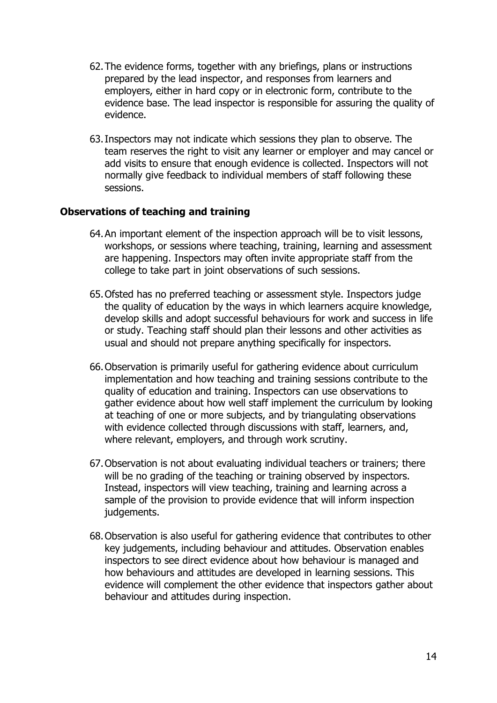- 62.The evidence forms, together with any briefings, plans or instructions prepared by the lead inspector, and responses from learners and employers, either in hard copy or in electronic form, contribute to the evidence base. The lead inspector is responsible for assuring the quality of evidence.
- 63.Inspectors may not indicate which sessions they plan to observe. The team reserves the right to visit any learner or employer and may cancel or add visits to ensure that enough evidence is collected. Inspectors will not normally give feedback to individual members of staff following these sessions.

#### **Observations of teaching and training**

- 64.An important element of the inspection approach will be to visit lessons, workshops, or sessions where teaching, training, learning and assessment are happening. Inspectors may often invite appropriate staff from the college to take part in joint observations of such sessions.
- 65.Ofsted has no preferred teaching or assessment style. Inspectors judge the quality of education by the ways in which learners acquire knowledge, develop skills and adopt successful behaviours for work and success in life or study. Teaching staff should plan their lessons and other activities as usual and should not prepare anything specifically for inspectors.
- 66.Observation is primarily useful for gathering evidence about curriculum implementation and how teaching and training sessions contribute to the quality of education and training. Inspectors can use observations to gather evidence about how well staff implement the curriculum by looking at teaching of one or more subjects, and by triangulating observations with evidence collected through discussions with staff, learners, and, where relevant, employers, and through work scrutiny.
- 67.Observation is not about evaluating individual teachers or trainers; there will be no grading of the teaching or training observed by inspectors. Instead, inspectors will view teaching, training and learning across a sample of the provision to provide evidence that will inform inspection judgements.
- 68.Observation is also useful for gathering evidence that contributes to other key judgements, including behaviour and attitudes. Observation enables inspectors to see direct evidence about how behaviour is managed and how behaviours and attitudes are developed in learning sessions. This evidence will complement the other evidence that inspectors gather about behaviour and attitudes during inspection.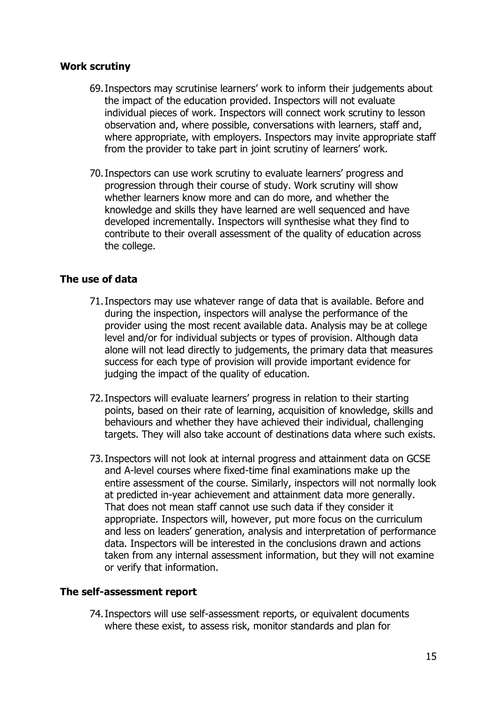#### **Work scrutiny**

- 69.Inspectors may scrutinise learners' work to inform their judgements about the impact of the education provided. Inspectors will not evaluate individual pieces of work. Inspectors will connect work scrutiny to lesson observation and, where possible, conversations with learners, staff and, where appropriate, with employers. Inspectors may invite appropriate staff from the provider to take part in joint scrutiny of learners' work.
- 70.Inspectors can use work scrutiny to evaluate learners' progress and progression through their course of study. Work scrutiny will show whether learners know more and can do more, and whether the knowledge and skills they have learned are well sequenced and have developed incrementally. Inspectors will synthesise what they find to contribute to their overall assessment of the quality of education across the college.

## **The use of data**

- 71.Inspectors may use whatever range of data that is available. Before and during the inspection, inspectors will analyse the performance of the provider using the most recent available data. Analysis may be at college level and/or for individual subjects or types of provision. Although data alone will not lead directly to judgements, the primary data that measures success for each type of provision will provide important evidence for judging the impact of the quality of education.
- 72.Inspectors will evaluate learners' progress in relation to their starting points, based on their rate of learning, acquisition of knowledge, skills and behaviours and whether they have achieved their individual, challenging targets. They will also take account of destinations data where such exists.
- 73.Inspectors will not look at internal progress and attainment data on GCSE and A-level courses where fixed-time final examinations make up the entire assessment of the course. Similarly, inspectors will not normally look at predicted in-year achievement and attainment data more generally. That does not mean staff cannot use such data if they consider it appropriate. Inspectors will, however, put more focus on the curriculum and less on leaders' generation, analysis and interpretation of performance data. Inspectors will be interested in the conclusions drawn and actions taken from any internal assessment information, but they will not examine or verify that information.

## **The self-assessment report**

74.Inspectors will use self-assessment reports, or equivalent documents where these exist, to assess risk, monitor standards and plan for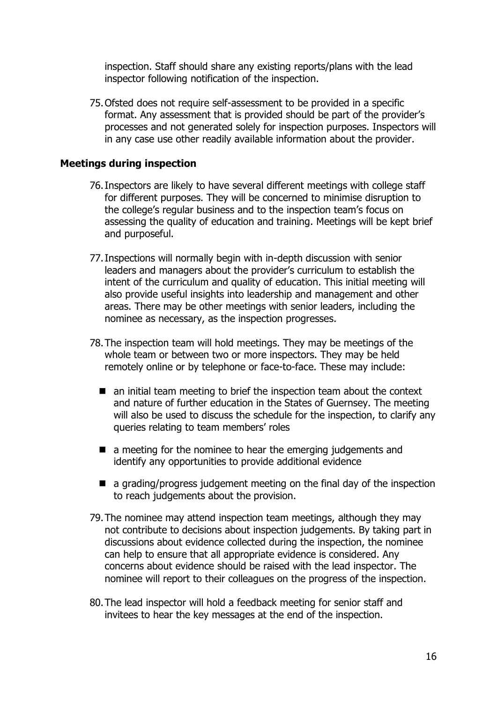inspection. Staff should share any existing reports/plans with the lead inspector following notification of the inspection.

75.Ofsted does not require self-assessment to be provided in a specific format. Any assessment that is provided should be part of the provider's processes and not generated solely for inspection purposes. Inspectors will in any case use other readily available information about the provider.

#### **Meetings during inspection**

- 76.Inspectors are likely to have several different meetings with college staff for different purposes. They will be concerned to minimise disruption to the college's regular business and to the inspection team's focus on assessing the quality of education and training. Meetings will be kept brief and purposeful.
- 77.Inspections will normally begin with in-depth discussion with senior leaders and managers about the provider's curriculum to establish the intent of the curriculum and quality of education. This initial meeting will also provide useful insights into leadership and management and other areas. There may be other meetings with senior leaders, including the nominee as necessary, as the inspection progresses.
- 78.The inspection team will hold meetings. They may be meetings of the whole team or between two or more inspectors. They may be held remotely online or by telephone or face-to-face. These may include:
	- an initial team meeting to brief the inspection team about the context and nature of further education in the States of Guernsey. The meeting will also be used to discuss the schedule for the inspection, to clarify any queries relating to team members' roles
	- a meeting for the nominee to hear the emerging judgements and identify any opportunities to provide additional evidence
	- a grading/progress judgement meeting on the final day of the inspection to reach judgements about the provision.
- 79.The nominee may attend inspection team meetings, although they may not contribute to decisions about inspection judgements. By taking part in discussions about evidence collected during the inspection, the nominee can help to ensure that all appropriate evidence is considered. Any concerns about evidence should be raised with the lead inspector. The nominee will report to their colleagues on the progress of the inspection.
- 80.The lead inspector will hold a feedback meeting for senior staff and invitees to hear the key messages at the end of the inspection.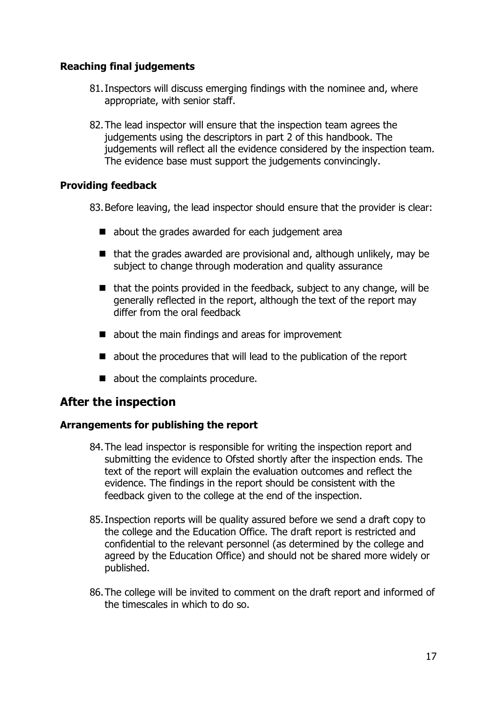# **Reaching final judgements**

- 81.Inspectors will discuss emerging findings with the nominee and, where appropriate, with senior staff.
- 82.The lead inspector will ensure that the inspection team agrees the judgements using the descriptors in part 2 of this handbook. The judgements will reflect all the evidence considered by the inspection team. The evidence base must support the judgements convincingly.

# **Providing feedback**

83.Before leaving, the lead inspector should ensure that the provider is clear:

- about the grades awarded for each judgement area
- that the grades awarded are provisional and, although unlikely, may be subject to change through moderation and quality assurance
- $\blacksquare$  that the points provided in the feedback, subject to any change, will be generally reflected in the report, although the text of the report may differ from the oral feedback
- about the main findings and areas for improvement
- about the procedures that will lead to the publication of the report
- about the complaints procedure.

# <span id="page-16-0"></span>**After the inspection**

## **Arrangements for publishing the report**

- 84.The lead inspector is responsible for writing the inspection report and submitting the evidence to Ofsted shortly after the inspection ends. The text of the report will explain the evaluation outcomes and reflect the evidence. The findings in the report should be consistent with the feedback given to the college at the end of the inspection.
- 85.Inspection reports will be quality assured before we send a draft copy to the college and the Education Office. The draft report is restricted and confidential to the relevant personnel (as determined by the college and agreed by the Education Office) and should not be shared more widely or published.
- 86.The college will be invited to comment on the draft report and informed of the timescales in which to do so.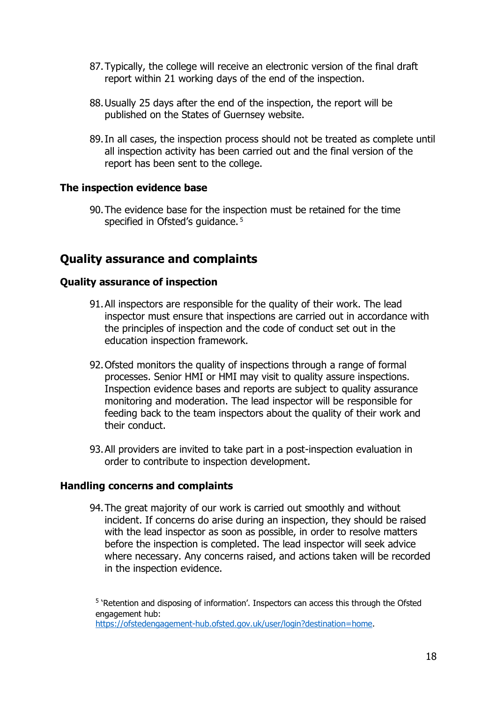- 87.Typically, the college will receive an electronic version of the final draft report within 21 working days of the end of the inspection.
- 88.Usually 25 days after the end of the inspection, the report will be published on the States of Guernsey website.
- 89.In all cases, the inspection process should not be treated as complete until all inspection activity has been carried out and the final version of the report has been sent to the college.

#### **The inspection evidence base**

90.The evidence base for the inspection must be retained for the time specified in Ofsted's quidance.<sup>5</sup>

# <span id="page-17-0"></span>**Quality assurance and complaints**

#### **Quality assurance of inspection**

- 91.All inspectors are responsible for the quality of their work. The lead inspector must ensure that inspections are carried out in accordance with the principles of inspection and the code of conduct set out in the education inspection framework.
- 92.Ofsted monitors the quality of inspections through a range of formal processes. Senior HMI or HMI may visit to quality assure inspections. Inspection evidence bases and reports are subject to quality assurance monitoring and moderation. The lead inspector will be responsible for feeding back to the team inspectors about the quality of their work and their conduct.
- 93.All providers are invited to take part in a post-inspection evaluation in order to contribute to inspection development.

#### **Handling concerns and complaints**

94.The great majority of our work is carried out smoothly and without incident. If concerns do arise during an inspection, they should be raised with the lead inspector as soon as possible, in order to resolve matters before the inspection is completed. The lead inspector will seek advice where necessary. Any concerns raised, and actions taken will be recorded in the inspection evidence.

<sup>5</sup> 'Retention and disposing of information'. Inspectors can access this through the Ofsted engagement hub: [https://ofstedengagement-hub.ofsted.gov.uk/user/login?destination=home.](https://ofstedengagement-hub.ofsted.gov.uk/user/login?destination=home)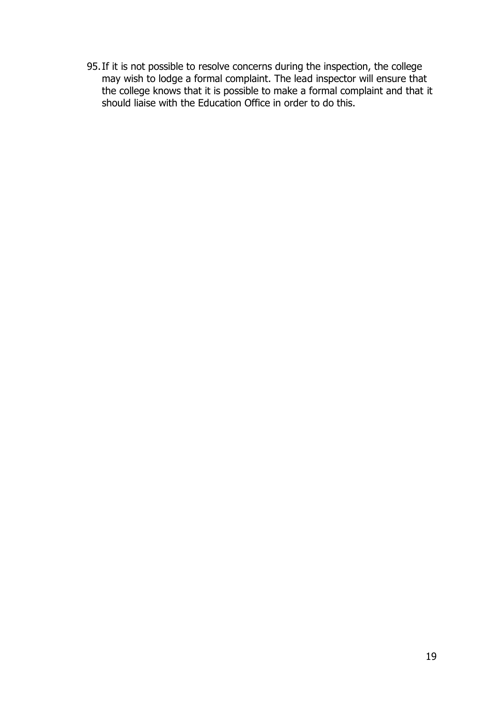95.If it is not possible to resolve concerns during the inspection, the college may wish to lodge a formal complaint. The lead inspector will ensure that the college knows that it is possible to make a formal complaint and that it should liaise with the Education Office in order to do this.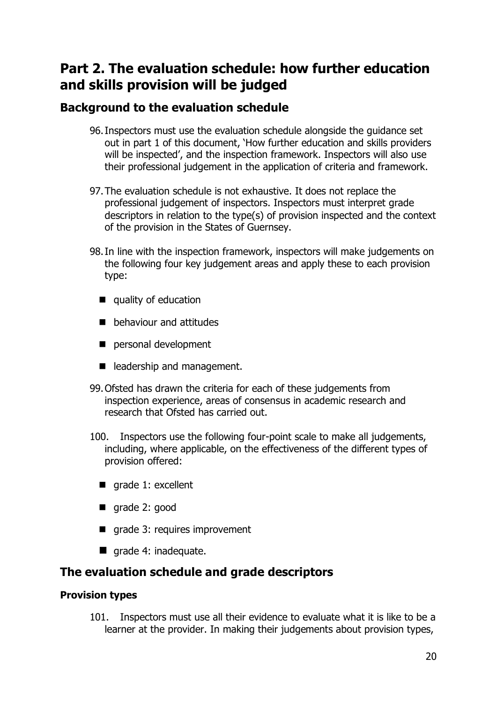# <span id="page-19-0"></span>**Part 2. The evaluation schedule: how further education and skills provision will be judged**

# <span id="page-19-1"></span>**Background to the evaluation schedule**

- 96.Inspectors must use the evaluation schedule alongside the guidance set out in part 1 of this document, 'How further education and skills providers will be inspected', and the inspection framework. Inspectors will also use their professional judgement in the application of criteria and framework.
- 97.The evaluation schedule is not exhaustive. It does not replace the professional judgement of inspectors. Inspectors must interpret grade descriptors in relation to the type(s) of provision inspected and the context of the provision in the States of Guernsey.
- 98.In line with the inspection framework, inspectors will make judgements on the following four key judgement areas and apply these to each provision type:
	- quality of education
	- behaviour and attitudes
	- personal development
	- leadership and management.
- 99.Ofsted has drawn the criteria for each of these judgements from inspection experience, areas of consensus in academic research and research that Ofsted has carried out.
- 100. Inspectors use the following four-point scale to make all judgements, including, where applicable, on the effectiveness of the different types of provision offered:
	- grade 1: excellent
	- grade 2: good
	- grade 3: requires improvement
	- grade 4: inadequate.

# **The evaluation schedule and grade descriptors**

## **Provision types**

<span id="page-19-2"></span>101. Inspectors must use all their evidence to evaluate what it is like to be a learner at the provider. In making their judgements about provision types,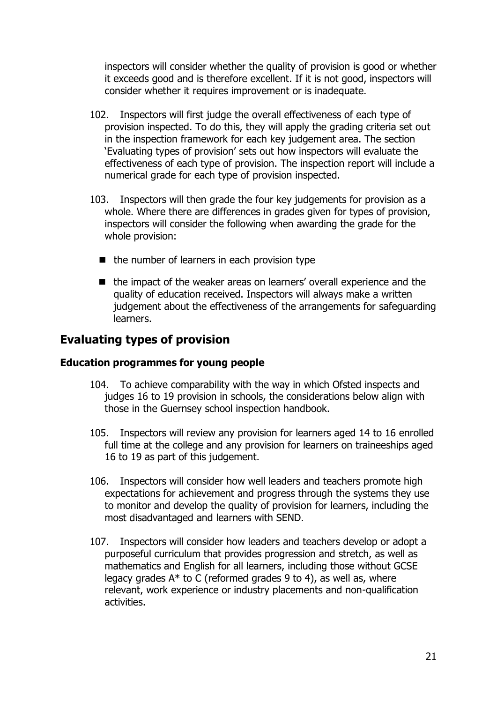inspectors will consider whether the quality of provision is good or whether it exceeds good and is therefore excellent. If it is not good, inspectors will consider whether it requires improvement or is inadequate.

- 102. Inspectors will first judge the overall effectiveness of each type of provision inspected. To do this, they will apply the grading criteria set out in the inspection framework for each key judgement area. The section 'Evaluating types of provision' sets out how inspectors will evaluate the effectiveness of each type of provision. The inspection report will include a numerical grade for each type of provision inspected.
- 103. Inspectors will then grade the four key judgements for provision as a whole. Where there are differences in grades given for types of provision, inspectors will consider the following when awarding the grade for the whole provision:
	- the number of learners in each provision type
	- the impact of the weaker areas on learners' overall experience and the quality of education received. Inspectors will always make a written judgement about the effectiveness of the arrangements for safeguarding learners.

# <span id="page-20-0"></span>**Evaluating types of provision**

## **Education programmes for young people**

- 104. To achieve comparability with the way in which Ofsted inspects and judges 16 to 19 provision in schools, the considerations below align with those in the Guernsey school inspection handbook.
- 105. Inspectors will review any provision for learners aged 14 to 16 enrolled full time at the college and any provision for learners on traineeships aged 16 to 19 as part of this judgement.
- 106. Inspectors will consider how well leaders and teachers promote high expectations for achievement and progress through the systems they use to monitor and develop the quality of provision for learners, including the most disadvantaged and learners with SEND.
- 107. Inspectors will consider how leaders and teachers develop or adopt a purposeful curriculum that provides progression and stretch, as well as mathematics and English for all learners, including those without GCSE legacy grades  $A^*$  to C (reformed grades 9 to 4), as well as, where relevant, work experience or industry placements and non-qualification activities.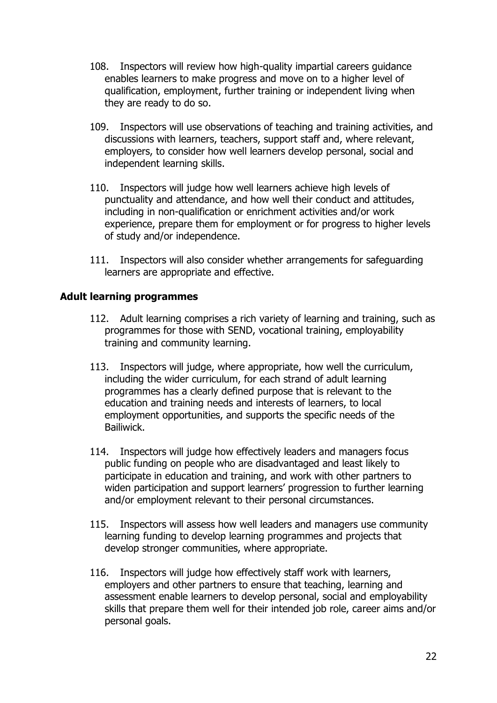- 108. Inspectors will review how high-quality impartial careers guidance enables learners to make progress and move on to a higher level of qualification, employment, further training or independent living when they are ready to do so.
- 109. Inspectors will use observations of teaching and training activities, and discussions with learners, teachers, support staff and, where relevant, employers, to consider how well learners develop personal, social and independent learning skills.
- 110. Inspectors will judge how well learners achieve high levels of punctuality and attendance, and how well their conduct and attitudes, including in non-qualification or enrichment activities and/or work experience, prepare them for employment or for progress to higher levels of study and/or independence.
- 111. Inspectors will also consider whether arrangements for safeguarding learners are appropriate and effective.

# **Adult learning programmes**

- 112. Adult learning comprises a rich variety of learning and training, such as programmes for those with SEND, vocational training, employability training and community learning.
- 113. Inspectors will judge, where appropriate, how well the curriculum, including the wider curriculum, for each strand of adult learning programmes has a clearly defined purpose that is relevant to the education and training needs and interests of learners, to local employment opportunities, and supports the specific needs of the Bailiwick.
- 114. Inspectors will judge how effectively leaders and managers focus public funding on people who are disadvantaged and least likely to participate in education and training, and work with other partners to widen participation and support learners' progression to further learning and/or employment relevant to their personal circumstances.
- 115. Inspectors will assess how well leaders and managers use community learning funding to develop learning programmes and projects that develop stronger communities, where appropriate.
- 116. Inspectors will judge how effectively staff work with learners, employers and other partners to ensure that teaching, learning and assessment enable learners to develop personal, social and employability skills that prepare them well for their intended job role, career aims and/or personal goals.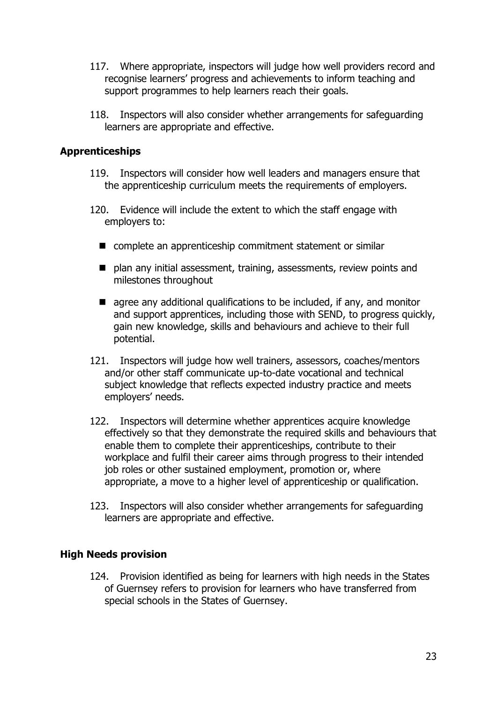- 117. Where appropriate, inspectors will judge how well providers record and recognise learners' progress and achievements to inform teaching and support programmes to help learners reach their goals.
- 118. Inspectors will also consider whether arrangements for safeguarding learners are appropriate and effective.

#### **Apprenticeships**

- 119. Inspectors will consider how well leaders and managers ensure that the apprenticeship curriculum meets the requirements of employers.
- 120. Evidence will include the extent to which the staff engage with employers to:
	- complete an apprenticeship commitment statement or similar
	- plan any initial assessment, training, assessments, review points and milestones throughout
	- $\blacksquare$  agree any additional qualifications to be included, if any, and monitor and support apprentices, including those with SEND, to progress quickly, gain new knowledge, skills and behaviours and achieve to their full potential.
- 121. Inspectors will judge how well trainers, assessors, coaches/mentors and/or other staff communicate up-to-date vocational and technical subject knowledge that reflects expected industry practice and meets employers' needs.
- 122. Inspectors will determine whether apprentices acquire knowledge effectively so that they demonstrate the required skills and behaviours that enable them to complete their apprenticeships, contribute to their workplace and fulfil their career aims through progress to their intended job roles or other sustained employment, promotion or, where appropriate, a move to a higher level of apprenticeship or qualification.
- 123. Inspectors will also consider whether arrangements for safeguarding learners are appropriate and effective.

#### **High Needs provision**

124. Provision identified as being for learners with high needs in the States of Guernsey refers to provision for learners who have transferred from special schools in the States of Guernsey.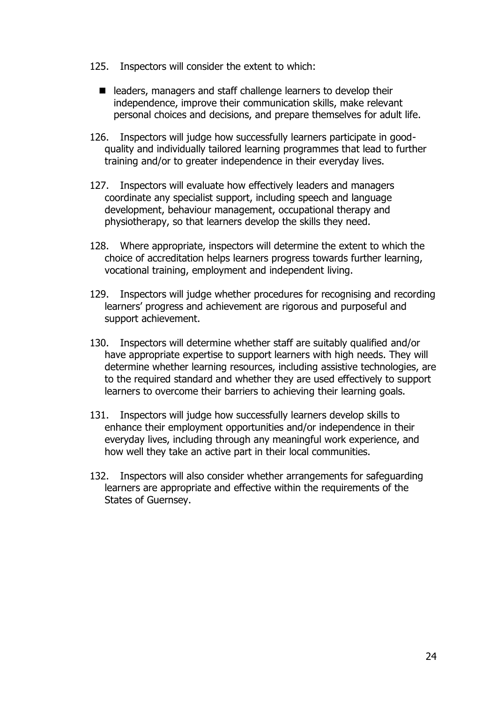- 125. Inspectors will consider the extent to which:
	- leaders, managers and staff challenge learners to develop their independence, improve their communication skills, make relevant personal choices and decisions, and prepare themselves for adult life.
- 126. Inspectors will judge how successfully learners participate in goodquality and individually tailored learning programmes that lead to further training and/or to greater independence in their everyday lives.
- 127. Inspectors will evaluate how effectively leaders and managers coordinate any specialist support, including speech and language development, behaviour management, occupational therapy and physiotherapy, so that learners develop the skills they need.
- 128. Where appropriate, inspectors will determine the extent to which the choice of accreditation helps learners progress towards further learning, vocational training, employment and independent living.
- 129. Inspectors will judge whether procedures for recognising and recording learners' progress and achievement are rigorous and purposeful and support achievement.
- 130. Inspectors will determine whether staff are suitably qualified and/or have appropriate expertise to support learners with high needs. They will determine whether learning resources, including assistive technologies, are to the required standard and whether they are used effectively to support learners to overcome their barriers to achieving their learning goals.
- 131. Inspectors will judge how successfully learners develop skills to enhance their employment opportunities and/or independence in their everyday lives, including through any meaningful work experience, and how well they take an active part in their local communities.
- 132. Inspectors will also consider whether arrangements for safeguarding learners are appropriate and effective within the requirements of the States of Guernsey.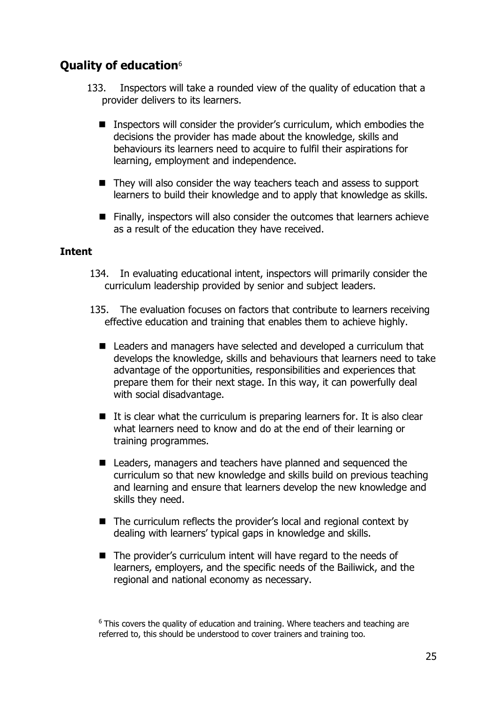# <span id="page-24-0"></span>**Quality of education**<sup>6</sup>

- 133. Inspectors will take a rounded view of the quality of education that a provider delivers to its learners.
	- Inspectors will consider the provider's curriculum, which embodies the decisions the provider has made about the knowledge, skills and behaviours its learners need to acquire to fulfil their aspirations for learning, employment and independence.
	- They will also consider the way teachers teach and assess to support learners to build their knowledge and to apply that knowledge as skills.
	- Finally, inspectors will also consider the outcomes that learners achieve as a result of the education they have received.

## **Intent**

- 134. In evaluating educational intent, inspectors will primarily consider the curriculum leadership provided by senior and subject leaders.
- 135. The evaluation focuses on factors that contribute to learners receiving effective education and training that enables them to achieve highly.
	- Leaders and managers have selected and developed a curriculum that develops the knowledge, skills and behaviours that learners need to take advantage of the opportunities, responsibilities and experiences that prepare them for their next stage. In this way, it can powerfully deal with social disadvantage.
	- It is clear what the curriculum is preparing learners for. It is also clear what learners need to know and do at the end of their learning or training programmes.
	- Leaders, managers and teachers have planned and sequenced the curriculum so that new knowledge and skills build on previous teaching and learning and ensure that learners develop the new knowledge and skills they need.
	- The curriculum reflects the provider's local and regional context by dealing with learners' typical gaps in knowledge and skills.
	- The provider's curriculum intent will have regard to the needs of learners, employers, and the specific needs of the Bailiwick, and the regional and national economy as necessary.

 $6$  This covers the quality of education and training. Where teachers and teaching are referred to, this should be understood to cover trainers and training too.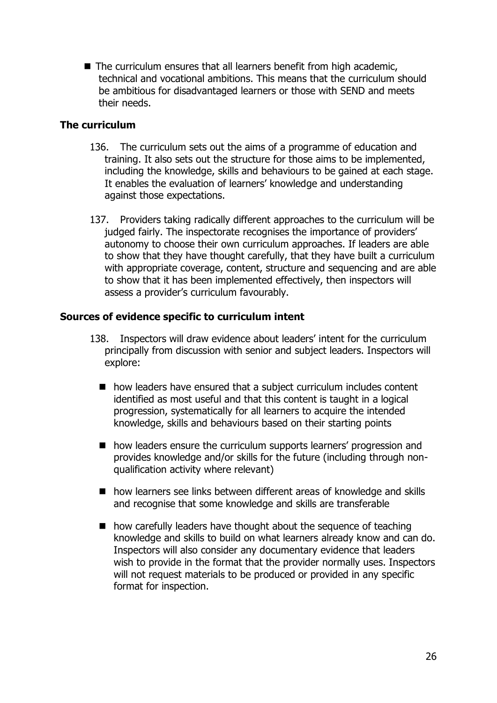■ The curriculum ensures that all learners benefit from high academic, technical and vocational ambitions. This means that the curriculum should be ambitious for disadvantaged learners or those with SEND and meets their needs.

## **The curriculum**

- 136. The curriculum sets out the aims of a programme of education and training. It also sets out the structure for those aims to be implemented, including the knowledge, skills and behaviours to be gained at each stage. It enables the evaluation of learners' knowledge and understanding against those expectations.
- 137. Providers taking radically different approaches to the curriculum will be judged fairly. The inspectorate recognises the importance of providers' autonomy to choose their own curriculum approaches. If leaders are able to show that they have thought carefully, that they have built a curriculum with appropriate coverage, content, structure and sequencing and are able to show that it has been implemented effectively, then inspectors will assess a provider's curriculum favourably.

# **Sources of evidence specific to curriculum intent**

- 138. Inspectors will draw evidence about leaders' intent for the curriculum principally from discussion with senior and subject leaders. Inspectors will explore:
	- how leaders have ensured that a subject curriculum includes content identified as most useful and that this content is taught in a logical progression, systematically for all learners to acquire the intended knowledge, skills and behaviours based on their starting points
	- how leaders ensure the curriculum supports learners' progression and provides knowledge and/or skills for the future (including through nonqualification activity where relevant)
	- how learners see links between different areas of knowledge and skills and recognise that some knowledge and skills are transferable
	- how carefully leaders have thought about the sequence of teaching knowledge and skills to build on what learners already know and can do. Inspectors will also consider any documentary evidence that leaders wish to provide in the format that the provider normally uses. Inspectors will not request materials to be produced or provided in any specific format for inspection.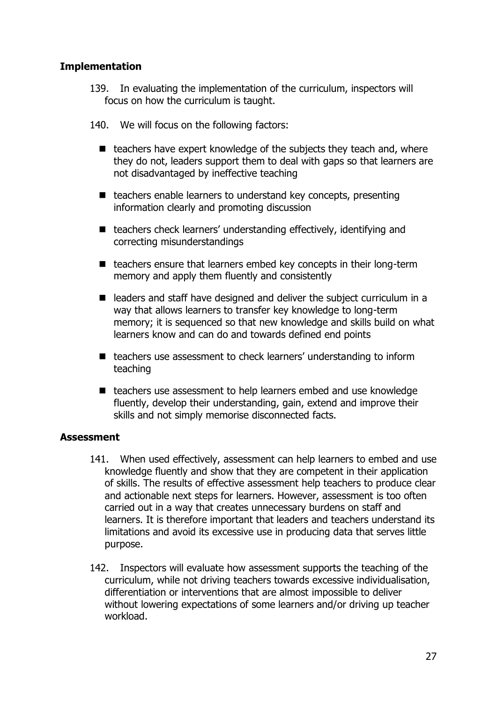## **Implementation**

- 139. In evaluating the implementation of the curriculum, inspectors will focus on how the curriculum is taught.
- 140. We will focus on the following factors:
	- teachers have expert knowledge of the subjects they teach and, where they do not, leaders support them to deal with gaps so that learners are not disadvantaged by ineffective teaching
	- teachers enable learners to understand key concepts, presenting information clearly and promoting discussion
	- teachers check learners' understanding effectively, identifying and correcting misunderstandings
	- teachers ensure that learners embed key concepts in their long-term memory and apply them fluently and consistently
	- leaders and staff have designed and deliver the subject curriculum in a way that allows learners to transfer key knowledge to long-term memory; it is sequenced so that new knowledge and skills build on what learners know and can do and towards defined end points
	- teachers use assessment to check learners' understanding to inform teaching
	- teachers use assessment to help learners embed and use knowledge fluently, develop their understanding, gain, extend and improve their skills and not simply memorise disconnected facts.

## **Assessment**

- 141. When used effectively, assessment can help learners to embed and use knowledge fluently and show that they are competent in their application of skills. The results of effective assessment help teachers to produce clear and actionable next steps for learners. However, assessment is too often carried out in a way that creates unnecessary burdens on staff and learners. It is therefore important that leaders and teachers understand its limitations and avoid its excessive use in producing data that serves little purpose.
- 142. Inspectors will evaluate how assessment supports the teaching of the curriculum, while not driving teachers towards excessive individualisation, differentiation or interventions that are almost impossible to deliver without lowering expectations of some learners and/or driving up teacher workload.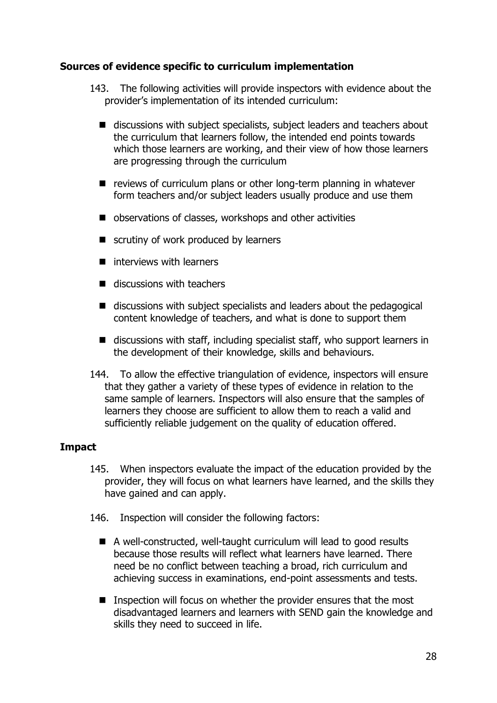# **Sources of evidence specific to curriculum implementation**

- 143. The following activities will provide inspectors with evidence about the provider's implementation of its intended curriculum:
	- discussions with subject specialists, subject leaders and teachers about the curriculum that learners follow, the intended end points towards which those learners are working, and their view of how those learners are progressing through the curriculum
	- reviews of curriculum plans or other long-term planning in whatever form teachers and/or subject leaders usually produce and use them
	- observations of classes, workshops and other activities
	- scrutiny of work produced by learners
	- interviews with learners
	- $\blacksquare$  discussions with teachers
	- discussions with subject specialists and leaders about the pedagogical content knowledge of teachers, and what is done to support them
	- discussions with staff, including specialist staff, who support learners in the development of their knowledge, skills and behaviours.
- 144. To allow the effective triangulation of evidence, inspectors will ensure that they gather a variety of these types of evidence in relation to the same sample of learners. Inspectors will also ensure that the samples of learners they choose are sufficient to allow them to reach a valid and sufficiently reliable judgement on the quality of education offered.

## **Impact**

- 145. When inspectors evaluate the impact of the education provided by the provider, they will focus on what learners have learned, and the skills they have gained and can apply.
- 146. Inspection will consider the following factors:
	- A well-constructed, well-taught curriculum will lead to good results because those results will reflect what learners have learned. There need be no conflict between teaching a broad, rich curriculum and achieving success in examinations, end-point assessments and tests.
	- Inspection will focus on whether the provider ensures that the most disadvantaged learners and learners with SEND gain the knowledge and skills they need to succeed in life.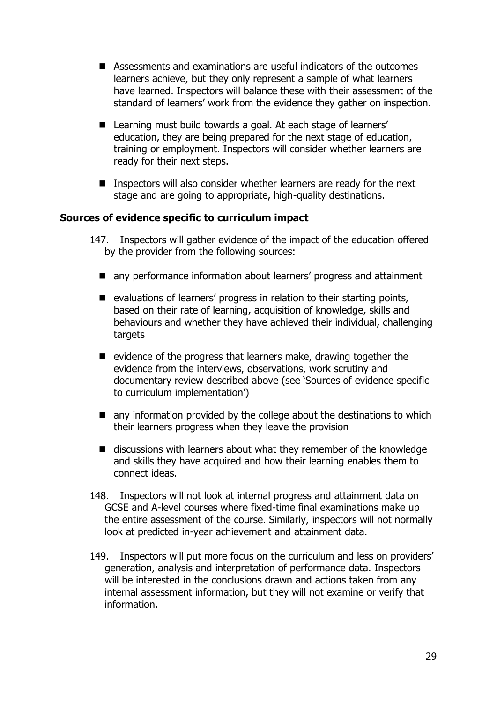- Assessments and examinations are useful indicators of the outcomes learners achieve, but they only represent a sample of what learners have learned. Inspectors will balance these with their assessment of the standard of learners' work from the evidence they gather on inspection.
- Learning must build towards a goal. At each stage of learners' education, they are being prepared for the next stage of education, training or employment. Inspectors will consider whether learners are ready for their next steps.
- Inspectors will also consider whether learners are ready for the next stage and are going to appropriate, high-quality destinations.

## **Sources of evidence specific to curriculum impact**

- 147. Inspectors will gather evidence of the impact of the education offered by the provider from the following sources:
	- any performance information about learners' progress and attainment
	- evaluations of learners' progress in relation to their starting points, based on their rate of learning, acquisition of knowledge, skills and behaviours and whether they have achieved their individual, challenging targets
	- evidence of the progress that learners make, drawing together the evidence from the interviews, observations, work scrutiny and documentary review described above (see 'Sources of evidence specific to curriculum implementation')
	- $\blacksquare$  any information provided by the college about the destinations to which their learners progress when they leave the provision
	- discussions with learners about what they remember of the knowledge and skills they have acquired and how their learning enables them to connect ideas.
- 148. Inspectors will not look at internal progress and attainment data on GCSE and A-level courses where fixed-time final examinations make up the entire assessment of the course. Similarly, inspectors will not normally look at predicted in-year achievement and attainment data.
- 149. Inspectors will put more focus on the curriculum and less on providers' generation, analysis and interpretation of performance data. Inspectors will be interested in the conclusions drawn and actions taken from any internal assessment information, but they will not examine or verify that information.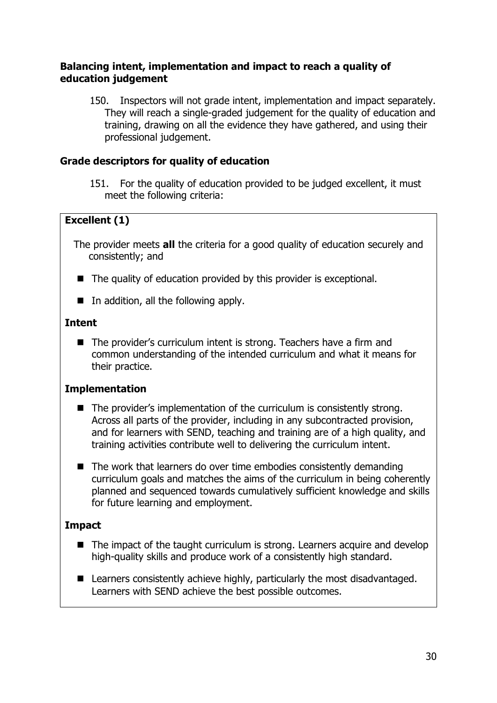## **Balancing intent, implementation and impact to reach a quality of education judgement**

150. Inspectors will not grade intent, implementation and impact separately. They will reach a single-graded judgement for the quality of education and training, drawing on all the evidence they have gathered, and using their professional judgement.

# **Grade descriptors for quality of education**

151. For the quality of education provided to be judged excellent, it must meet the following criteria:

# **Excellent (1)**

The provider meets **all** the criteria for a good quality of education securely and consistently; and

- The quality of education provided by this provider is exceptional.
- In addition, all the following apply.

## **Intent**

■ The provider's curriculum intent is strong. Teachers have a firm and common understanding of the intended curriculum and what it means for their practice.

## **Implementation**

- The provider's implementation of the curriculum is consistently strong. Across all parts of the provider, including in any subcontracted provision, and for learners with SEND, teaching and training are of a high quality, and training activities contribute well to delivering the curriculum intent.
- The work that learners do over time embodies consistently demanding curriculum goals and matches the aims of the curriculum in being coherently planned and sequenced towards cumulatively sufficient knowledge and skills for future learning and employment.

## **Impact**

- The impact of the taught curriculum is strong. Learners acquire and develop high-quality skills and produce work of a consistently high standard.
- Learners consistently achieve highly, particularly the most disadvantaged. Learners with SEND achieve the best possible outcomes.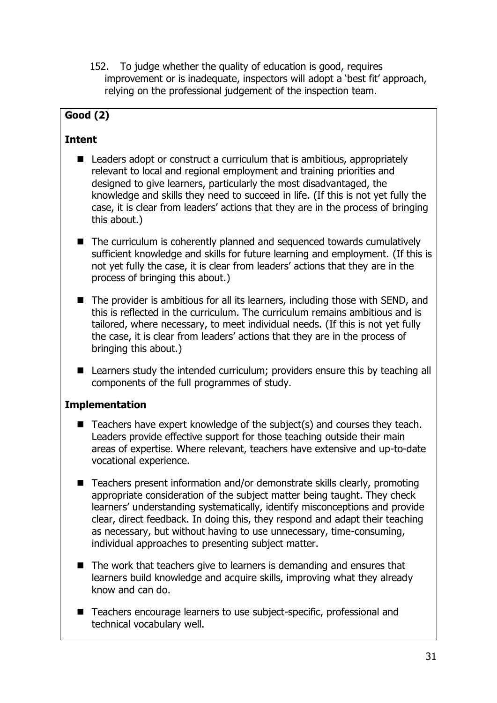152. To judge whether the quality of education is good, requires improvement or is inadequate, inspectors will adopt a 'best fit' approach, relying on the professional judgement of the inspection team.

# **Good (2)**

# **Intent**

- Leaders adopt or construct a curriculum that is ambitious, appropriately relevant to local and regional employment and training priorities and designed to give learners, particularly the most disadvantaged, the knowledge and skills they need to succeed in life. (If this is not yet fully the case, it is clear from leaders' actions that they are in the process of bringing this about.)
- The curriculum is coherently planned and sequenced towards cumulatively sufficient knowledge and skills for future learning and employment. (If this is not yet fully the case, it is clear from leaders' actions that they are in the process of bringing this about.)
- The provider is ambitious for all its learners, including those with SEND, and this is reflected in the curriculum. The curriculum remains ambitious and is tailored, where necessary, to meet individual needs. (If this is not yet fully the case, it is clear from leaders' actions that they are in the process of bringing this about.)
- Learners study the intended curriculum; providers ensure this by teaching all components of the full programmes of study.

# **Implementation**

- Teachers have expert knowledge of the subject(s) and courses they teach. Leaders provide effective support for those teaching outside their main areas of expertise. Where relevant, teachers have extensive and up-to-date vocational experience.
- Teachers present information and/or demonstrate skills clearly, promoting appropriate consideration of the subject matter being taught. They check learners' understanding systematically, identify misconceptions and provide clear, direct feedback. In doing this, they respond and adapt their teaching as necessary, but without having to use unnecessary, time-consuming, individual approaches to presenting subject matter.
- The work that teachers give to learners is demanding and ensures that learners build knowledge and acquire skills, improving what they already know and can do.
- Teachers encourage learners to use subject-specific, professional and technical vocabulary well.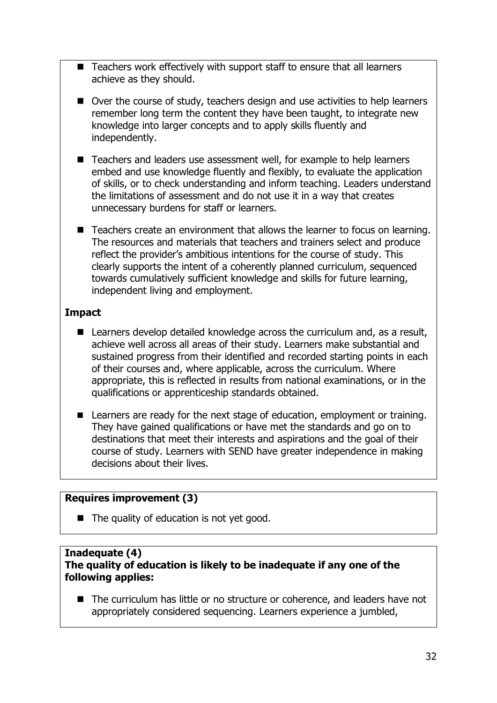- Teachers work effectively with support staff to ensure that all learners achieve as they should.
- Over the course of study, teachers design and use activities to help learners remember long term the content they have been taught, to integrate new knowledge into larger concepts and to apply skills fluently and independently.
- Teachers and leaders use assessment well, for example to help learners embed and use knowledge fluently and flexibly, to evaluate the application of skills, or to check understanding and inform teaching. Leaders understand the limitations of assessment and do not use it in a way that creates unnecessary burdens for staff or learners.
- Teachers create an environment that allows the learner to focus on learning. The resources and materials that teachers and trainers select and produce reflect the provider's ambitious intentions for the course of study. This clearly supports the intent of a coherently planned curriculum, sequenced towards cumulatively sufficient knowledge and skills for future learning, independent living and employment.

# **Impact**

- Learners develop detailed knowledge across the curriculum and, as a result, achieve well across all areas of their study. Learners make substantial and sustained progress from their identified and recorded starting points in each of their courses and, where applicable, across the curriculum. Where appropriate, this is reflected in results from national examinations, or in the qualifications or apprenticeship standards obtained.
- Learners are ready for the next stage of education, employment or training. They have gained qualifications or have met the standards and go on to destinations that meet their interests and aspirations and the goal of their course of study. Learners with SEND have greater independence in making decisions about their lives.

# **Requires improvement (3)**

■ The quality of education is not yet good.

#### **Inadequate (4) The quality of education is likely to be inadequate if any one of the following applies:**

■ The curriculum has little or no structure or coherence, and leaders have not appropriately considered sequencing. Learners experience a jumbled,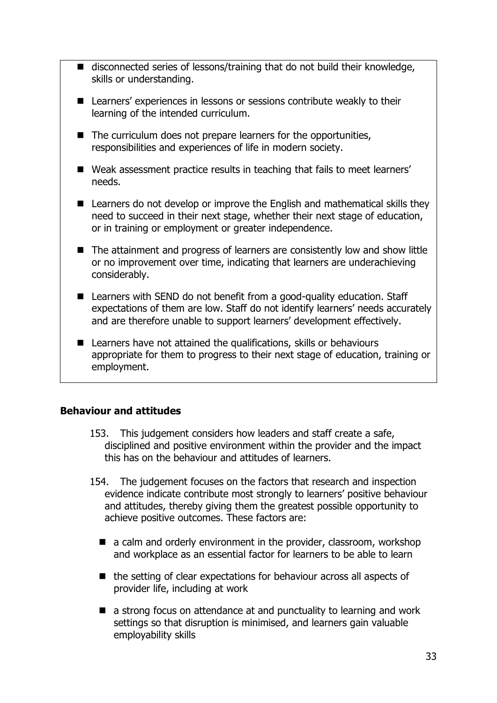- disconnected series of lessons/training that do not build their knowledge, skills or understanding.
- Learners' experiences in lessons or sessions contribute weakly to their learning of the intended curriculum.
- The curriculum does not prepare learners for the opportunities, responsibilities and experiences of life in modern society.
- Weak assessment practice results in teaching that fails to meet learners' needs.
- Learners do not develop or improve the English and mathematical skills they need to succeed in their next stage, whether their next stage of education, or in training or employment or greater independence.
- The attainment and progress of learners are consistently low and show little or no improvement over time, indicating that learners are underachieving considerably.
- Learners with SEND do not benefit from a good-quality education. Staff expectations of them are low. Staff do not identify learners' needs accurately and are therefore unable to support learners' development effectively.
- Learners have not attained the qualifications, skills or behaviours appropriate for them to progress to their next stage of education, training or employment.

# <span id="page-32-0"></span>**Behaviour and attitudes**

- 153. This judgement considers how leaders and staff create a safe, disciplined and positive environment within the provider and the impact this has on the behaviour and attitudes of learners.
- 154. The judgement focuses on the factors that research and inspection evidence indicate contribute most strongly to learners' positive behaviour and attitudes, thereby giving them the greatest possible opportunity to achieve positive outcomes. These factors are:
	- a calm and orderly environment in the provider, classroom, workshop and workplace as an essential factor for learners to be able to learn
	- the setting of clear expectations for behaviour across all aspects of provider life, including at work
	- a strong focus on attendance at and punctuality to learning and work settings so that disruption is minimised, and learners gain valuable employability skills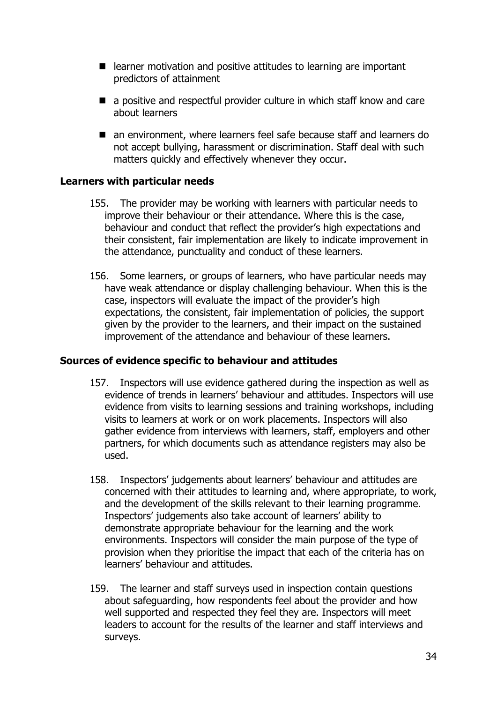- learner motivation and positive attitudes to learning are important predictors of attainment
- a positive and respectful provider culture in which staff know and care about learners
- an environment, where learners feel safe because staff and learners do not accept bullying, harassment or discrimination. Staff deal with such matters quickly and effectively whenever they occur.

## **Learners with particular needs**

- 155. The provider may be working with learners with particular needs to improve their behaviour or their attendance. Where this is the case, behaviour and conduct that reflect the provider's high expectations and their consistent, fair implementation are likely to indicate improvement in the attendance, punctuality and conduct of these learners.
- 156. Some learners, or groups of learners, who have particular needs may have weak attendance or display challenging behaviour. When this is the case, inspectors will evaluate the impact of the provider's high expectations, the consistent, fair implementation of policies, the support given by the provider to the learners, and their impact on the sustained improvement of the attendance and behaviour of these learners.

## **Sources of evidence specific to behaviour and attitudes**

- 157. Inspectors will use evidence gathered during the inspection as well as evidence of trends in learners' behaviour and attitudes. Inspectors will use evidence from visits to learning sessions and training workshops, including visits to learners at work or on work placements. Inspectors will also gather evidence from interviews with learners, staff, employers and other partners, for which documents such as attendance registers may also be used.
- 158. Inspectors' judgements about learners' behaviour and attitudes are concerned with their attitudes to learning and, where appropriate, to work, and the development of the skills relevant to their learning programme. Inspectors' judgements also take account of learners' ability to demonstrate appropriate behaviour for the learning and the work environments. Inspectors will consider the main purpose of the type of provision when they prioritise the impact that each of the criteria has on learners' behaviour and attitudes.
- 159. The learner and staff surveys used in inspection contain questions about safeguarding, how respondents feel about the provider and how well supported and respected they feel they are. Inspectors will meet leaders to account for the results of the learner and staff interviews and surveys.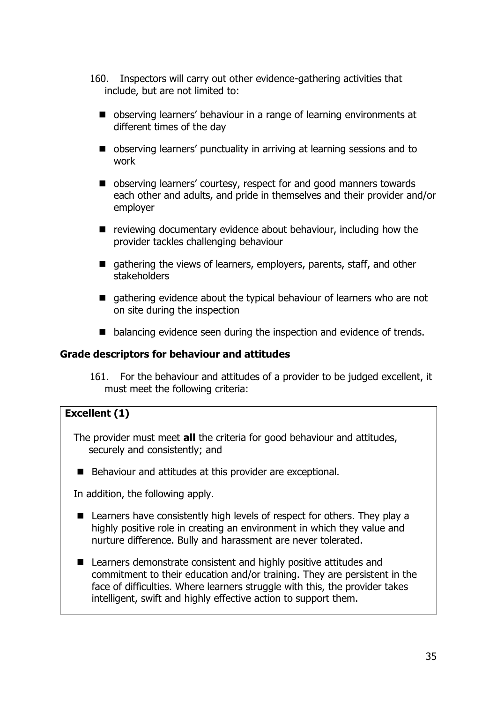- 160. Inspectors will carry out other evidence-gathering activities that include, but are not limited to:
	- observing learners' behaviour in a range of learning environments at different times of the day
	- observing learners' punctuality in arriving at learning sessions and to work
	- observing learners' courtesy, respect for and good manners towards each other and adults, and pride in themselves and their provider and/or employer
	- reviewing documentary evidence about behaviour, including how the provider tackles challenging behaviour
	- gathering the views of learners, employers, parents, staff, and other stakeholders
	- gathering evidence about the typical behaviour of learners who are not on site during the inspection
	- balancing evidence seen during the inspection and evidence of trends.

#### **Grade descriptors for behaviour and attitudes**

161. For the behaviour and attitudes of a provider to be judged excellent, it must meet the following criteria:

## **Excellent (1)**

- The provider must meet **all** the criteria for good behaviour and attitudes, securely and consistently; and
- Behaviour and attitudes at this provider are exceptional.

In addition, the following apply.

- Learners have consistently high levels of respect for others. They play a highly positive role in creating an environment in which they value and nurture difference. Bully and harassment are never tolerated.
- Learners demonstrate consistent and highly positive attitudes and commitment to their education and/or training. They are persistent in the face of difficulties. Where learners struggle with this, the provider takes intelligent, swift and highly effective action to support them.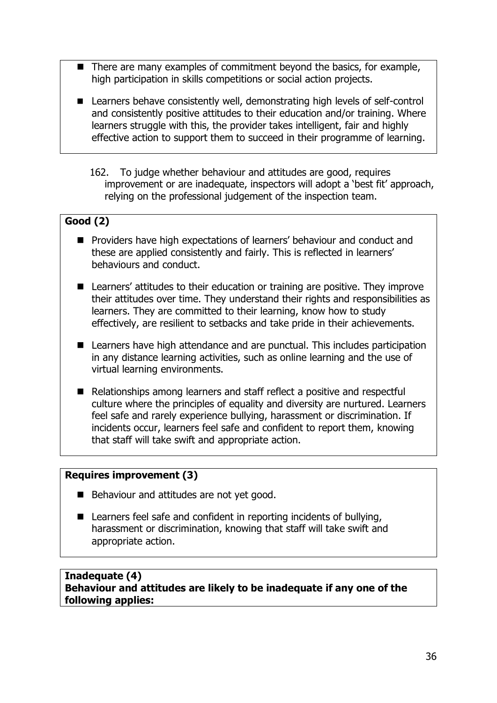- There are many examples of commitment beyond the basics, for example, high participation in skills competitions or social action projects.
- Learners behave consistently well, demonstrating high levels of self-control and consistently positive attitudes to their education and/or training. Where learners struggle with this, the provider takes intelligent, fair and highly effective action to support them to succeed in their programme of learning.
	- 162. To judge whether behaviour and attitudes are good, requires improvement or are inadequate, inspectors will adopt a 'best fit' approach, relying on the professional judgement of the inspection team.

# **Good (2)**

- Providers have high expectations of learners' behaviour and conduct and these are applied consistently and fairly. This is reflected in learners' behaviours and conduct.
- Learners' attitudes to their education or training are positive. They improve their attitudes over time. They understand their rights and responsibilities as learners. They are committed to their learning, know how to study effectively, are resilient to setbacks and take pride in their achievements.
- Learners have high attendance and are punctual. This includes participation in any distance learning activities, such as online learning and the use of virtual learning environments.
- Relationships among learners and staff reflect a positive and respectful culture where the principles of equality and diversity are nurtured. Learners feel safe and rarely experience bullying, harassment or discrimination. If incidents occur, learners feel safe and confident to report them, knowing that staff will take swift and appropriate action.

#### **Requires improvement (3)**

- Behaviour and attitudes are not yet good.
- Learners feel safe and confident in reporting incidents of bullying, harassment or discrimination, knowing that staff will take swift and appropriate action.

#### **Inadequate (4) Behaviour and attitudes are likely to be inadequate if any one of the following applies:**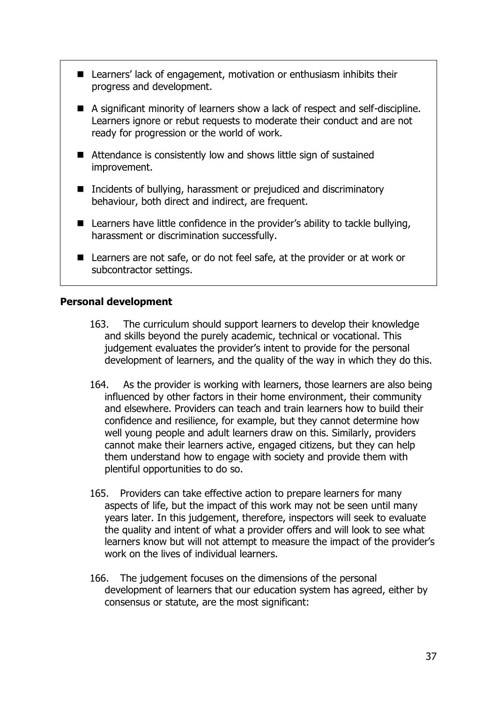- Learners' lack of engagement, motivation or enthusiasm inhibits their progress and development.
- A significant minority of learners show a lack of respect and self-discipline. Learners ignore or rebut requests to moderate their conduct and are not ready for progression or the world of work.
- Attendance is consistently low and shows little sign of sustained improvement.
- Incidents of bullying, harassment or prejudiced and discriminatory behaviour, both direct and indirect, are frequent.
- Learners have little confidence in the provider's ability to tackle bullying, harassment or discrimination successfully.
- Learners are not safe, or do not feel safe, at the provider or at work or subcontractor settings.

#### <span id="page-36-0"></span>**Personal development**

- 163. The curriculum should support learners to develop their knowledge and skills beyond the purely academic, technical or vocational. This judgement evaluates the provider's intent to provide for the personal development of learners, and the quality of the way in which they do this.
- 164. As the provider is working with learners, those learners are also being influenced by other factors in their home environment, their community and elsewhere. Providers can teach and train learners how to build their confidence and resilience, for example, but they cannot determine how well young people and adult learners draw on this. Similarly, providers cannot make their learners active, engaged citizens, but they can help them understand how to engage with society and provide them with plentiful opportunities to do so.
- 165. Providers can take effective action to prepare learners for many aspects of life, but the impact of this work may not be seen until many years later. In this judgement, therefore, inspectors will seek to evaluate the quality and intent of what a provider offers and will look to see what learners know but will not attempt to measure the impact of the provider's work on the lives of individual learners.
- 166. The judgement focuses on the dimensions of the personal development of learners that our education system has agreed, either by consensus or statute, are the most significant: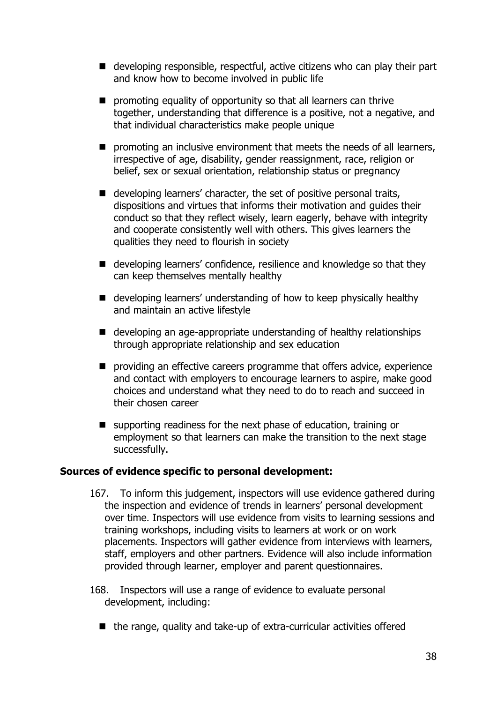- developing responsible, respectful, active citizens who can play their part and know how to become involved in public life
- promoting equality of opportunity so that all learners can thrive together, understanding that difference is a positive, not a negative, and that individual characteristics make people unique
- promoting an inclusive environment that meets the needs of all learners, irrespective of age, disability, gender reassignment, race, religion or belief, sex or sexual orientation, relationship status or pregnancy
- developing learners' character, the set of positive personal traits, dispositions and virtues that informs their motivation and guides their conduct so that they reflect wisely, learn eagerly, behave with integrity and cooperate consistently well with others. This gives learners the qualities they need to flourish in society
- developing learners' confidence, resilience and knowledge so that they can keep themselves mentally healthy
- developing learners' understanding of how to keep physically healthy and maintain an active lifestyle
- developing an age-appropriate understanding of healthy relationships through appropriate relationship and sex education
- providing an effective careers programme that offers advice, experience and contact with employers to encourage learners to aspire, make good choices and understand what they need to do to reach and succeed in their chosen career
- supporting readiness for the next phase of education, training or employment so that learners can make the transition to the next stage successfully.

#### **Sources of evidence specific to personal development:**

- 167. To inform this judgement, inspectors will use evidence gathered during the inspection and evidence of trends in learners' personal development over time. Inspectors will use evidence from visits to learning sessions and training workshops, including visits to learners at work or on work placements. Inspectors will gather evidence from interviews with learners, staff, employers and other partners. Evidence will also include information provided through learner, employer and parent questionnaires.
- 168. Inspectors will use a range of evidence to evaluate personal development, including:
	- the range, quality and take-up of extra-curricular activities offered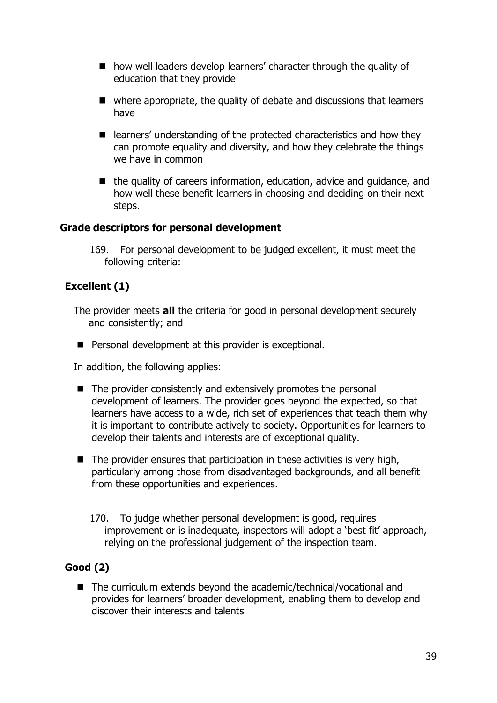- how well leaders develop learners' character through the quality of education that they provide
- where appropriate, the quality of debate and discussions that learners have
- learners' understanding of the protected characteristics and how they can promote equality and diversity, and how they celebrate the things we have in common
- the quality of careers information, education, advice and guidance, and how well these benefit learners in choosing and deciding on their next steps.

# **Grade descriptors for personal development**

169. For personal development to be judged excellent, it must meet the following criteria:

# **Excellent (1)**

- The provider meets **all** the criteria for good in personal development securely and consistently; and
- Personal development at this provider is exceptional.

In addition, the following applies:

- The provider consistently and extensively promotes the personal development of learners. The provider goes beyond the expected, so that learners have access to a wide, rich set of experiences that teach them why it is important to contribute actively to society. Opportunities for learners to develop their talents and interests are of exceptional quality.
- The provider ensures that participation in these activities is very high, particularly among those from disadvantaged backgrounds, and all benefit from these opportunities and experiences.
	- 170. To judge whether personal development is good, requires improvement or is inadequate, inspectors will adopt a 'best fit' approach, relying on the professional judgement of the inspection team.

# **Good (2)**

■ The curriculum extends beyond the academic/technical/vocational and provides for learners' broader development, enabling them to develop and discover their interests and talents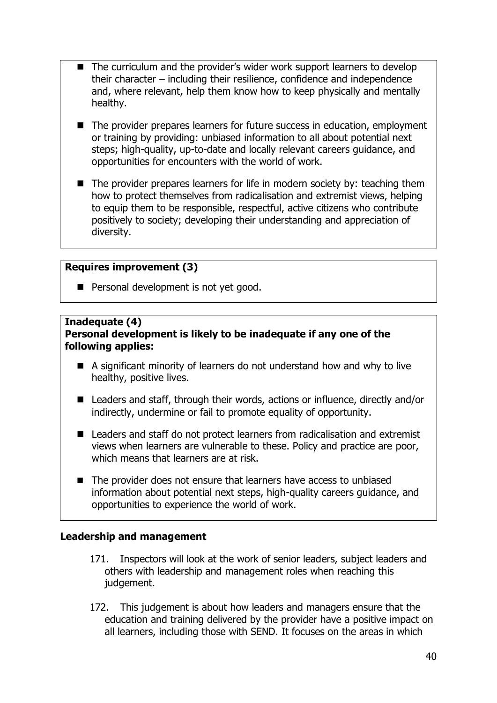- The curriculum and the provider's wider work support learners to develop their character – including their resilience, confidence and independence and, where relevant, help them know how to keep physically and mentally healthy.
- The provider prepares learners for future success in education, employment or training by providing: unbiased information to all about potential next steps; high-quality, up-to-date and locally relevant careers guidance, and opportunities for encounters with the world of work.
- The provider prepares learners for life in modern society by: teaching them how to protect themselves from radicalisation and extremist views, helping to equip them to be responsible, respectful, active citizens who contribute positively to society; developing their understanding and appreciation of diversity.

#### **Requires improvement (3)**

■ Personal development is not yet good.

#### **Inadequate (4) Personal development is likely to be inadequate if any one of the following applies:**

- A significant minority of learners do not understand how and why to live healthy, positive lives.
- Leaders and staff, through their words, actions or influence, directly and/or indirectly, undermine or fail to promote equality of opportunity.
- Leaders and staff do not protect learners from radicalisation and extremist views when learners are vulnerable to these. Policy and practice are poor, which means that learners are at risk.
- The provider does not ensure that learners have access to unbiased information about potential next steps, high-quality careers guidance, and opportunities to experience the world of work.

## <span id="page-39-0"></span>**Leadership and management**

- 171. Inspectors will look at the work of senior leaders, subject leaders and others with leadership and management roles when reaching this judgement.
- 172. This judgement is about how leaders and managers ensure that the education and training delivered by the provider have a positive impact on all learners, including those with SEND. It focuses on the areas in which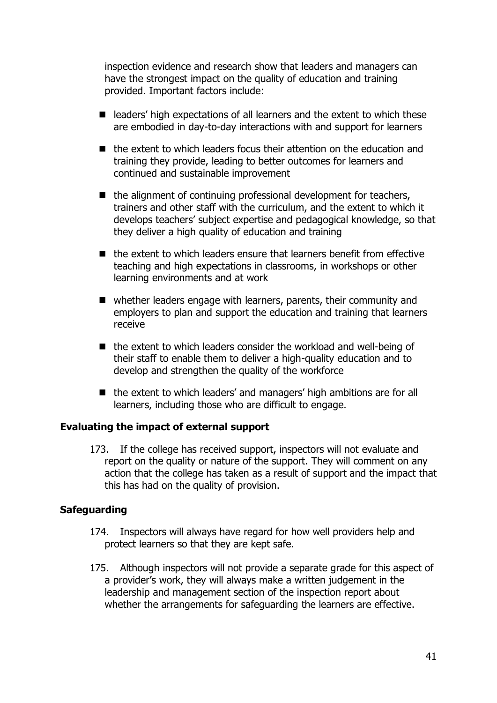inspection evidence and research show that leaders and managers can have the strongest impact on the quality of education and training provided. Important factors include:

- leaders' high expectations of all learners and the extent to which these are embodied in day-to-day interactions with and support for learners
- the extent to which leaders focus their attention on the education and training they provide, leading to better outcomes for learners and continued and sustainable improvement
- the alignment of continuing professional development for teachers, trainers and other staff with the curriculum, and the extent to which it develops teachers' subject expertise and pedagogical knowledge, so that they deliver a high quality of education and training
- the extent to which leaders ensure that learners benefit from effective teaching and high expectations in classrooms, in workshops or other learning environments and at work
- whether leaders engage with learners, parents, their community and employers to plan and support the education and training that learners receive
- the extent to which leaders consider the workload and well-being of their staff to enable them to deliver a high-quality education and to develop and strengthen the quality of the workforce
- the extent to which leaders' and managers' high ambitions are for all learners, including those who are difficult to engage.

## **Evaluating the impact of external support**

173. If the college has received support, inspectors will not evaluate and report on the quality or nature of the support. They will comment on any action that the college has taken as a result of support and the impact that this has had on the quality of provision.

#### **Safeguarding**

- 174. Inspectors will always have regard for how well providers help and protect learners so that they are kept safe.
- 175. Although inspectors will not provide a separate grade for this aspect of a provider's work, they will always make a written judgement in the leadership and management section of the inspection report about whether the arrangements for safeguarding the learners are effective.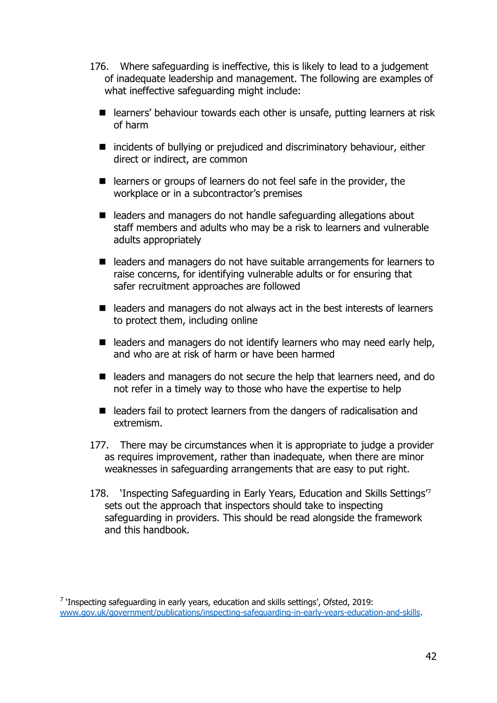- 176. Where safeguarding is ineffective, this is likely to lead to a judgement of inadequate leadership and management. The following are examples of what ineffective safeguarding might include:
	- learners' behaviour towards each other is unsafe, putting learners at risk of harm
	- incidents of bullying or prejudiced and discriminatory behaviour, either direct or indirect, are common
	- learners or groups of learners do not feel safe in the provider, the workplace or in a subcontractor's premises
	- leaders and managers do not handle safeguarding allegations about staff members and adults who may be a risk to learners and vulnerable adults appropriately
	- leaders and managers do not have suitable arrangements for learners to raise concerns, for identifying vulnerable adults or for ensuring that safer recruitment approaches are followed
	- leaders and managers do not always act in the best interests of learners to protect them, including online
	- $\blacksquare$  leaders and managers do not identify learners who may need early help, and who are at risk of harm or have been harmed
	- leaders and managers do not secure the help that learners need, and do not refer in a timely way to those who have the expertise to help
	- leaders fail to protect learners from the dangers of radicalisation and extremism.
- 177. There may be circumstances when it is appropriate to judge a provider as requires improvement, rather than inadequate, when there are minor weaknesses in safeguarding arrangements that are easy to put right.
- 178. 'Inspecting Safeguarding in Early Years, Education and Skills Settings'<sup>7</sup> sets out the approach that inspectors should take to inspecting safeguarding in providers. This should be read alongside the framework and this handbook.

<sup>&</sup>lt;sup>7</sup> 'Inspecting safeguarding in early years, education and skills settings', Ofsted, 2019: [www.gov.uk/government/publications/inspecting-safeguarding-in-early-years-education-and-skills.](http://www.gov.uk/government/publications/inspecting-safeguarding-in-early-years-education-and-skills)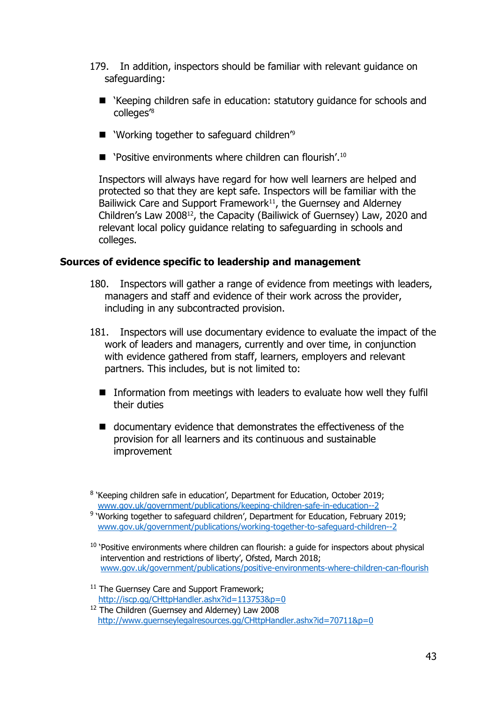- 179. In addition, inspectors should be familiar with relevant guidance on safeguarding:
	- 'Keeping children safe in education: statutory guidance for schools and colleges'<sup>8</sup>
	- 'Working together to safeguard children<sup>'9</sup>
	- 'Positive environments where children can flourish'.<sup>10</sup>

Inspectors will always have regard for how well learners are helped and protected so that they are kept safe. Inspectors will be familiar with the Bailiwick Care and Support Framework $11$ , the Guernsey and Alderney Children's Law 200812, the Capacity (Bailiwick of Guernsey) Law, 2020 and relevant local policy guidance relating to safeguarding in schools and colleges.

#### **Sources of evidence specific to leadership and management**

- 180. Inspectors will gather a range of evidence from meetings with leaders, managers and staff and evidence of their work across the provider, including in any subcontracted provision.
- 181. Inspectors will use documentary evidence to evaluate the impact of the work of leaders and managers, currently and over time, in conjunction with evidence gathered from staff, learners, employers and relevant partners. This includes, but is not limited to:
	- Information from meetings with leaders to evaluate how well they fulfil their duties
	- documentary evidence that demonstrates the effectiveness of the provision for all learners and its continuous and sustainable improvement

<sup>&</sup>lt;sup>8</sup> 'Keeping children safe in education', Department for Education, October 2019; [www.gov.uk/government/publications/keeping-children-safe-in-education--2](http://www.gov.uk/government/publications/keeping-children-safe-in-education--2)

<sup>&</sup>lt;sup>9</sup> 'Working together to safeguard children', Department for Education, February 2019; [www.gov.uk/government/publications/working-together-to-safeguard-children--2](http://www.gov.uk/government/publications/working-together-to-safeguard-children--2)

<sup>&</sup>lt;sup>10</sup> 'Positive environments where children can flourish: a guide for inspectors about physical intervention and restrictions of liberty', Ofsted, March 2018; [www.gov.uk/government/publications/positive-environments-where-children-can-flourish](http://www.gov.uk/government/publications/positive-environments-where-children-can-flourish)

<sup>&</sup>lt;sup>11</sup> The Guernsey Care and Support Framework; <http://iscp.gg/CHttpHandler.ashx?id=113753&p=0>

<sup>&</sup>lt;sup>12</sup> The Children (Guernsey and Alderney) Law 2008 <http://www.guernseylegalresources.gg/CHttpHandler.ashx?id=70711&p=0>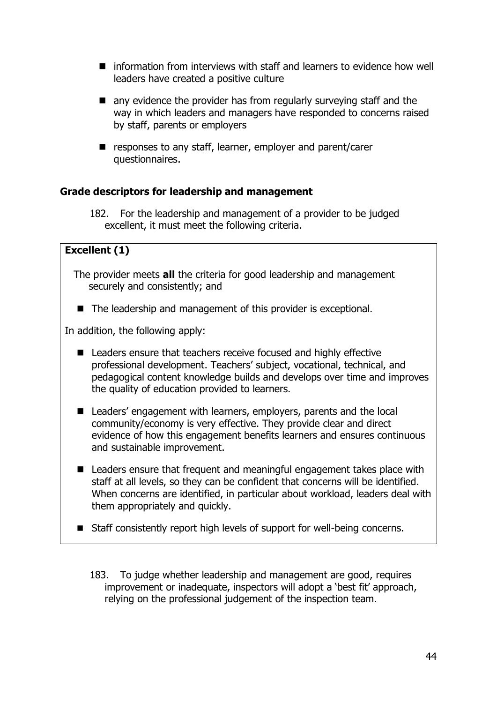- information from interviews with staff and learners to evidence how well leaders have created a positive culture
- any evidence the provider has from regularly surveying staff and the way in which leaders and managers have responded to concerns raised by staff, parents or employers
- responses to any staff, learner, employer and parent/carer questionnaires.

# **Grade descriptors for leadership and management**

182. For the leadership and management of a provider to be judged excellent, it must meet the following criteria.

# **Excellent (1)**

- The provider meets **all** the criteria for good leadership and management securely and consistently; and
- The leadership and management of this provider is exceptional.

In addition, the following apply:

- Leaders ensure that teachers receive focused and highly effective professional development. Teachers' subject, vocational, technical, and pedagogical content knowledge builds and develops over time and improves the quality of education provided to learners.
- Leaders' engagement with learners, employers, parents and the local community/economy is very effective. They provide clear and direct evidence of how this engagement benefits learners and ensures continuous and sustainable improvement.
- Leaders ensure that frequent and meaningful engagement takes place with staff at all levels, so they can be confident that concerns will be identified. When concerns are identified, in particular about workload, leaders deal with them appropriately and quickly.
- Staff consistently report high levels of support for well-being concerns.
	- 183. To judge whether leadership and management are good, requires improvement or inadequate, inspectors will adopt a 'best fit' approach, relying on the professional judgement of the inspection team.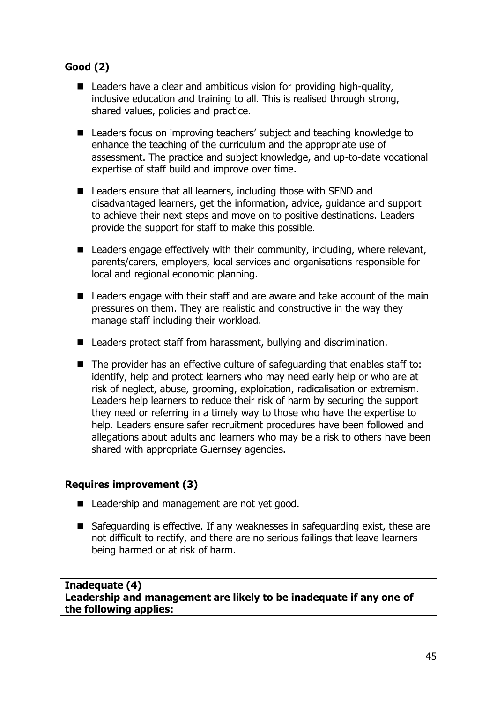# **Good (2)**

- Leaders have a clear and ambitious vision for providing high-quality, inclusive education and training to all. This is realised through strong, shared values, policies and practice.
- Leaders focus on improving teachers' subject and teaching knowledge to enhance the teaching of the curriculum and the appropriate use of assessment. The practice and subject knowledge, and up-to-date vocational expertise of staff build and improve over time.
- Leaders ensure that all learners, including those with SEND and disadvantaged learners, get the information, advice, guidance and support to achieve their next steps and move on to positive destinations. Leaders provide the support for staff to make this possible.
- $\blacksquare$  Leaders engage effectively with their community, including, where relevant, parents/carers, employers, local services and organisations responsible for local and regional economic planning.
- Leaders engage with their staff and are aware and take account of the main pressures on them. They are realistic and constructive in the way they manage staff including their workload.
- Leaders protect staff from harassment, bullying and discrimination.
- The provider has an effective culture of safeguarding that enables staff to: identify, help and protect learners who may need early help or who are at risk of neglect, abuse, grooming, exploitation, radicalisation or extremism. Leaders help learners to reduce their risk of harm by securing the support they need or referring in a timely way to those who have the expertise to help. Leaders ensure safer recruitment procedures have been followed and allegations about adults and learners who may be a risk to others have been shared with appropriate Guernsey agencies.

## **Requires improvement (3)**

- Leadership and management are not yet good.
- Safeguarding is effective. If any weaknesses in safeguarding exist, these are not difficult to rectify, and there are no serious failings that leave learners being harmed or at risk of harm.

#### **Inadequate (4) Leadership and management are likely to be inadequate if any one of the following applies:**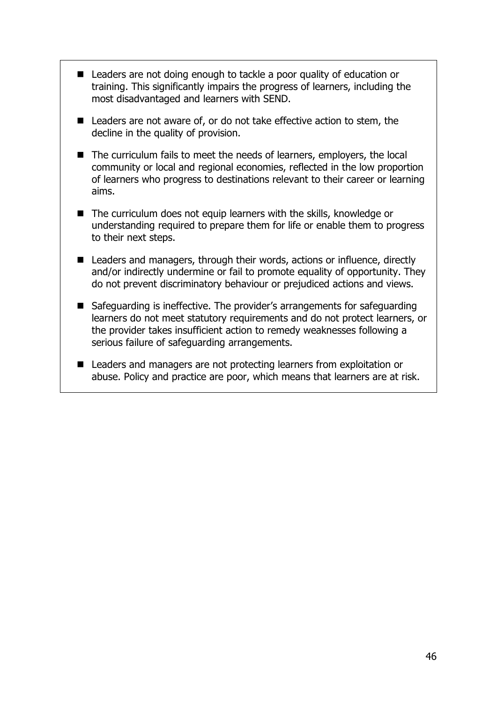- Leaders are not doing enough to tackle a poor quality of education or training. This significantly impairs the progress of learners, including the most disadvantaged and learners with SEND.
- Leaders are not aware of, or do not take effective action to stem, the decline in the quality of provision.
- The curriculum fails to meet the needs of learners, employers, the local community or local and regional economies, reflected in the low proportion of learners who progress to destinations relevant to their career or learning aims.
- The curriculum does not equip learners with the skills, knowledge or understanding required to prepare them for life or enable them to progress to their next steps.
- Leaders and managers, through their words, actions or influence, directly and/or indirectly undermine or fail to promote equality of opportunity. They do not prevent discriminatory behaviour or prejudiced actions and views.
- Safeguarding is ineffective. The provider's arrangements for safeguarding learners do not meet statutory requirements and do not protect learners, or the provider takes insufficient action to remedy weaknesses following a serious failure of safeguarding arrangements.
- Leaders and managers are not protecting learners from exploitation or abuse. Policy and practice are poor, which means that learners are at risk.